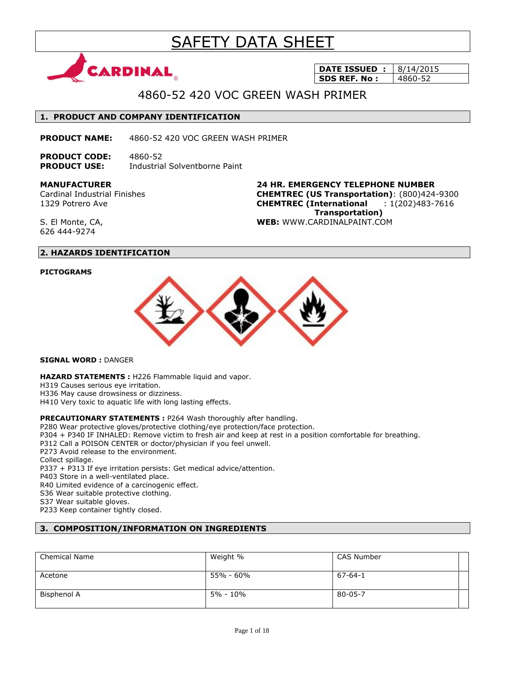# SAFETY DATA SHEET



**DATE ISSUED : 8/14/2015 SDS REF. No :** 4860-52

# 4860-52 420 VOC GREEN WASH PRIMER

#### **1. PRODUCT AND COMPANY IDENTIFICATION**

**PRODUCT NAME:** 4860-52 420 VOC GREEN WASH PRIMER

**PRODUCT CODE:** 4860-52 **PRODUCT USE:** Industrial Solventborne Paint

**MANUFACTURER**

Cardinal Industrial Finishes 1329 Potrero Ave

**24 HR. EMERGENCY TELEPHONE NUMBER CHEMTREC (US Transportation)**: (800)424-9300 **CHEMTREC (International** : 1(202)483-7616  **Transportation) WEB:** WWW.CARDINALPAINT.COM

S. El Monte, CA, 626 444-9274

### **2. HAZARDS IDENTIFICATION**

#### **PICTOGRAMS**



**SIGNAL WORD :** DANGER

**HAZARD STATEMENTS :** H226 Flammable liquid and vapor.

H319 Causes serious eye irritation.

H336 May cause drowsiness or dizziness.

H410 Very toxic to aquatic life with long lasting effects.

#### **PRECAUTIONARY STATEMENTS :** P264 Wash thoroughly after handling.

P280 Wear protective gloves/protective clothing/eye protection/face protection.

P304 + P340 IF INHALED: Remove victim to fresh air and keep at rest in a position comfortable for breathing.

P312 Call a POISON CENTER or doctor/physician if you feel unwell.

P273 Avoid release to the environment.

Collect spillage.

P337 + P313 If eye irritation persists: Get medical advice/attention.

P403 Store in a well-ventilated place.

R40 Limited evidence of a carcinogenic effect.

S36 Wear suitable protective clothing.

S37 Wear suitable gloves.

P233 Keep container tightly closed.

# **3. COMPOSITION/INFORMATION ON INGREDIENTS**

| <b>Chemical Name</b> | Weight %  | CAS Number    |  |
|----------------------|-----------|---------------|--|
| Acetone              | 55% - 60% | $67 - 64 - 1$ |  |
| Bisphenol A          | 5% - 10%  | 80-05-7       |  |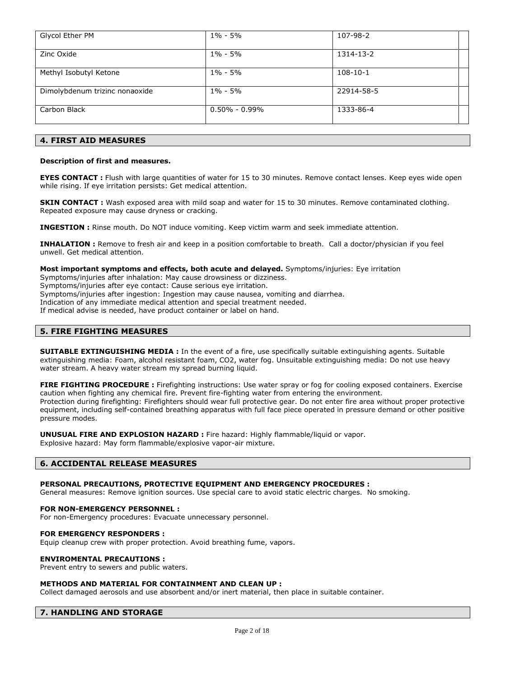| Glycol Ether PM                | $1\% - 5\%$         | 107-98-2   |  |
|--------------------------------|---------------------|------------|--|
| Zinc Oxide                     | $1\% - 5\%$         | 1314-13-2  |  |
| Methyl Isobutyl Ketone         | $1\% - 5\%$         | $108-10-1$ |  |
| Dimolybdenum trizinc nonaoxide | $1\% - 5\%$         | 22914-58-5 |  |
| Carbon Black                   | $0.50\%$ - $0.99\%$ | 1333-86-4  |  |

# **4. FIRST AID MEASURES**

#### **Description of first and measures.**

**EYES CONTACT** : Flush with large quantities of water for 15 to 30 minutes. Remove contact lenses. Keep eyes wide open while rising. If eye irritation persists: Get medical attention.

**SKIN CONTACT :** Wash exposed area with mild soap and water for 15 to 30 minutes. Remove contaminated clothing. Repeated exposure may cause dryness or cracking.

**INGESTION :** Rinse mouth. Do NOT induce vomiting. Keep victim warm and seek immediate attention.

**INHALATION :** Remove to fresh air and keep in a position comfortable to breath. Call a doctor/physician if you feel unwell. Get medical attention.

**Most important symptoms and effects, both acute and delayed.** Symptoms/injuries: Eye irritation

Symptoms/injuries after inhalation: May cause drowsiness or dizziness.

Symptoms/injuries after eye contact: Cause serious eye irritation.

Symptoms/injuries after ingestion: Ingestion may cause nausea, vomiting and diarrhea.

Indication of any immediate medical attention and special treatment needed.

If medical advise is needed, have product container or label on hand.

#### **5. FIRE FIGHTING MEASURES**

**SUITABLE EXTINGUISHING MEDIA :** In the event of a fire, use specifically suitable extinguishing agents. Suitable extinguishing media: Foam, alcohol resistant foam, CO2, water fog. Unsuitable extinguishing media: Do not use heavy water stream. A heavy water stream my spread burning liquid.

**FIRE FIGHTING PROCEDURE :** Firefighting instructions: Use water spray or fog for cooling exposed containers. Exercise caution when fighting any chemical fire. Prevent fire-fighting water from entering the environment. Protection during firefighting: Firefighters should wear full protective gear. Do not enter fire area without proper protective equipment, including self-contained breathing apparatus with full face piece operated in pressure demand or other positive pressure modes.

**UNUSUAL FIRE AND EXPLOSION HAZARD :** Fire hazard: Highly flammable/liquid or vapor.

Explosive hazard: May form flammable/explosive vapor-air mixture.

#### **6. ACCIDENTAL RELEASE MEASURES**

#### **PERSONAL PRECAUTIONS, PROTECTIVE EQUIPMENT AND EMERGENCY PROCEDURES :**

General measures: Remove ignition sources. Use special care to avoid static electric charges. No smoking.

#### **FOR NON-EMERGENCY PERSONNEL :**

For non-Emergency procedures: Evacuate unnecessary personnel.

#### **FOR EMERGENCY RESPONDERS :**

Equip cleanup crew with proper protection. Avoid breathing fume, vapors.

#### **ENVIROMENTAL PRECAUTIONS :**

Prevent entry to sewers and public waters.

#### **METHODS AND MATERIAL FOR CONTAINMENT AND CLEAN UP :**

Collect damaged aerosols and use absorbent and/or inert material, then place in suitable container.

#### **7. HANDLING AND STORAGE**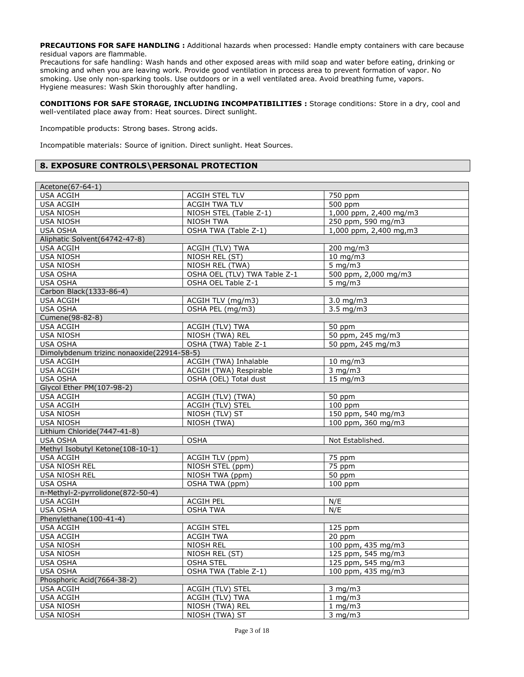**PRECAUTIONS FOR SAFE HANDLING :** Additional hazards when processed: Handle empty containers with care because residual vapors are flammable.

Precautions for safe handling: Wash hands and other exposed areas with mild soap and water before eating, drinking or smoking and when you are leaving work. Provide good ventilation in process area to prevent formation of vapor. No smoking. Use only non-sparking tools. Use outdoors or in a well ventilated area. Avoid breathing fume, vapors. Hygiene measures: Wash Skin thoroughly after handling.

**CONDITIONS FOR SAFE STORAGE, INCLUDING INCOMPATIBILITIES :** Storage conditions: Store in a dry, cool and well-ventilated place away from: Heat sources. Direct sunlight.

Incompatible products: Strong bases. Strong acids.

Incompatible materials: Source of ignition. Direct sunlight. Heat Sources.

### **8. EXPOSURE CONTROLS\PERSONAL PROTECTION**

| Acetone(67-64-1)                           |                              |                          |
|--------------------------------------------|------------------------------|--------------------------|
| <b>USA ACGIH</b>                           | <b>ACGIH STEL TLV</b>        | 750 ppm                  |
| <b>USA ACGIH</b>                           | <b>ACGIH TWA TLV</b>         | 500 ppm                  |
| <b>USA NIOSH</b>                           | NIOSH STEL (Table Z-1)       | 1,000 ppm, 2,400 mg/m3   |
| <b>USA NIOSH</b>                           | <b>NIOSH TWA</b>             | 250 ppm, 590 mg/m3       |
| <b>USA OSHA</b>                            | OSHA TWA (Table Z-1)         | $1,000$ ppm, 2,400 mg,m3 |
| Aliphatic Solvent(64742-47-8)              |                              |                          |
| <b>USA ACGIH</b>                           | ACGIH (TLV) TWA              | 200 mg/m3                |
| <b>USA NIOSH</b>                           | NIOSH REL (ST)               | $10 \, \text{mg/m}$      |
| <b>USA NIOSH</b>                           | NIOSH REL (TWA)              | $5 \text{ mg/m}$         |
| <b>USA OSHA</b>                            | OSHA OEL (TLV) TWA Table Z-1 | 500 ppm, 2,000 mg/m3     |
| <b>USA OSHA</b>                            | OSHA OEL Table Z-1           | $5 \text{ mg/m}$         |
| Carbon Black(1333-86-4)                    |                              |                          |
| <b>USA ACGIH</b>                           | ACGIH TLV (mg/m3)            | $3.0$ mg/m $3$           |
| USA OSHA                                   | OSHA PEL (mg/m3)             | $3.5 \text{ mg/m}$       |
| Cumene(98-82-8)                            |                              |                          |
| <b>USA ACGIH</b>                           | ACGIH (TLV) TWA              | 50 ppm                   |
| <b>USA NIOSH</b>                           | NIOSH (TWA) REL              | 50 ppm, 245 mg/m3        |
| <b>USA OSHA</b>                            | OSHA (TWA) Table Z-1         | 50 ppm, 245 mg/m3        |
| Dimolybdenum trizinc nonaoxide(22914-58-5) |                              |                          |
| <b>USA ACGIH</b>                           | ACGIH (TWA) Inhalable        | $10$ mg/m $3$            |
| <b>USA ACGIH</b>                           | ACGIH (TWA) Respirable       | $3$ mg/m $3$             |
| <b>USA OSHA</b>                            | OSHA (OEL) Total dust        | $15 \text{ mg/m}$        |
| Glycol Ether PM(107-98-2)                  |                              |                          |
| <b>USA ACGIH</b>                           | ACGIH (TLV) (TWA)            | 50 ppm                   |
| <b>USA ACGIH</b>                           | <b>ACGIH (TLV) STEL</b>      | $100$ ppm                |
| <b>USA NIOSH</b>                           | NIOSH (TLV) ST               | 150 ppm, 540 mg/m3       |
| <b>USA NIOSH</b>                           | NIOSH (TWA)                  | 100 ppm, 360 mg/m3       |
| Lithium Chloride(7447-41-8)                |                              |                          |
| <b>USA OSHA</b>                            | <b>OSHA</b>                  | Not Established.         |
| Methyl Isobutyl Ketone(108-10-1)           |                              |                          |
| <b>USA ACGIH</b>                           | ACGIH TLV (ppm)              | 75 ppm                   |
| <b>USA NIOSH REL</b>                       | NIOSH STEL (ppm)             | 75 ppm                   |
| <b>USA NIOSH REL</b>                       | NIOSH TWA (ppm)              | 50 ppm                   |
| <b>USA OSHA</b>                            | OSHA TWA (ppm)               | $100$ ppm                |
| n-Methyl-2-pyrrolidone(872-50-4)           |                              |                          |
| <b>USA ACGIH</b>                           | <b>ACGIH PEL</b>             | N/E                      |
| <b>USA OSHA</b>                            | <b>OSHA TWA</b>              | N/E                      |
| Phenylethane(100-41-4)                     |                              |                          |
| <b>USA ACGIH</b>                           | <b>ACGIH STEL</b>            | $125$ ppm                |
| <b>USA ACGIH</b>                           | <b>ACGIH TWA</b>             | 20 ppm                   |
| <b>USA NIOSH</b>                           | NIOSH REL                    | 100 ppm, 435 mg/m3       |
| <b>USA NIOSH</b>                           | NIOSH REL (ST)               | 125 ppm, 545 mg/m3       |
| <b>USA OSHA</b>                            | <b>OSHA STEL</b>             | 125 ppm, 545 mg/m3       |
| <b>USA OSHA</b>                            | OSHA TWA (Table Z-1)         | 100 ppm, 435 mg/m3       |
| Phosphoric Acid(7664-38-2)                 |                              |                          |
| <b>USA ACGIH</b>                           | ACGIH (TLV) STEL             | $3$ mg/m $3$             |
| <b>USA ACGIH</b>                           | <b>ACGIH (TLV) TWA</b>       | $1$ mg/m $3$             |
| <b>USA NIOSH</b>                           | NIOSH (TWA) REL              | $1$ mg/m3                |
| <b>USA NIOSH</b>                           | NIOSH (TWA) ST               | $3$ mg/m $3$             |
|                                            |                              |                          |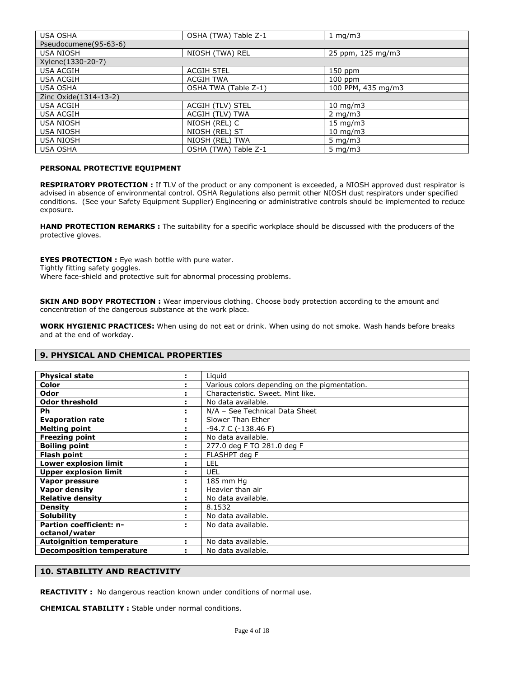| <b>USA OSHA</b>       | OSHA (TWA) Table Z-1 | 1 mg/m $3$         |  |  |
|-----------------------|----------------------|--------------------|--|--|
| Pseudocumene(95-63-6) |                      |                    |  |  |
| <b>USA NIOSH</b>      | NIOSH (TWA) REL      | 25 ppm, 125 mg/m3  |  |  |
| Xylene(1330-20-7)     |                      |                    |  |  |
| <b>USA ACGIH</b>      | <b>ACGIH STEL</b>    | 150 ppm            |  |  |
| <b>USA ACGIH</b>      | <b>ACGIH TWA</b>     | $100$ ppm          |  |  |
| <b>USA OSHA</b>       | OSHA TWA (Table Z-1) | 100 PPM, 435 mg/m3 |  |  |
| Zinc Oxide(1314-13-2) |                      |                    |  |  |
| <b>USA ACGIH</b>      | ACGIH (TLV) STEL     | $10 \text{ mg/m}$  |  |  |
| <b>USA ACGIH</b>      | ACGIH (TLV) TWA      | $2 \text{ mg/m}$   |  |  |
| <b>USA NIOSH</b>      | NIOSH (REL) C        | $15 \text{ mg/m}$  |  |  |
| <b>USA NIOSH</b>      | NIOSH (REL) ST       | $10 \text{ mg/m}$  |  |  |
| <b>USA NIOSH</b>      | NIOSH (REL) TWA      | 5 mg/m $3$         |  |  |
| <b>USA OSHA</b>       | OSHA (TWA) Table Z-1 | $5 \text{ mg/m}$   |  |  |

#### **PERSONAL PROTECTIVE EQUIPMENT**

**RESPIRATORY PROTECTION :** If TLV of the product or any component is exceeded, a NIOSH approved dust respirator is advised in absence of environmental control. OSHA Regulations also permit other NIOSH dust respirators under specified conditions. (See your Safety Equipment Supplier) Engineering or administrative controls should be implemented to reduce exposure.

**HAND PROTECTION REMARKS :** The suitability for a specific workplace should be discussed with the producers of the protective gloves.

**EYES PROTECTION :** Eye wash bottle with pure water. Tightly fitting safety goggles. Where face-shield and protective suit for abnormal processing problems.

**SKIN AND BODY PROTECTION :** Wear impervious clothing. Choose body protection according to the amount and concentration of the dangerous substance at the work place.

**WORK HYGIENIC PRACTICES:** When using do not eat or drink. When using do not smoke. Wash hands before breaks and at the end of workday.

#### **9. PHYSICAL AND CHEMICAL PROPERTIES**

| <b>Physical state</b>            | ÷. | Liguid                                        |
|----------------------------------|----|-----------------------------------------------|
| Color                            |    | Various colors depending on the pigmentation. |
| Odor                             |    | Characteristic. Sweet. Mint like.             |
| <b>Odor threshold</b>            |    | No data available.                            |
| Ph.                              |    | N/A - See Technical Data Sheet                |
| <b>Evaporation rate</b>          | ÷. | Slower Than Ether                             |
| <b>Melting point</b>             |    | $-94.7 C (-138.46 F)$                         |
| <b>Freezing point</b>            |    | No data available.                            |
| <b>Boiling point</b>             | ÷. | 277.0 deg F TO 281.0 deg F                    |
| <b>Flash point</b>               | ÷. | FLASHPT deg F                                 |
| Lower explosion limit            | ÷  | LEL                                           |
| <b>Upper explosion limit</b>     | х  | UEL                                           |
| Vapor pressure                   |    | 185 mm Hg                                     |
| <b>Vapor density</b>             |    | Heavier than air                              |
| <b>Relative density</b>          |    | No data available.                            |
| <b>Density</b>                   |    | 8.1532                                        |
| <b>Solubility</b>                |    | No data available.                            |
| <b>Partion coefficient: n-</b>   |    | No data available.                            |
| octanol/water                    |    |                                               |
| <b>Autoignition temperature</b>  | ÷. | No data available.                            |
| <b>Decomposition temperature</b> |    | No data available.                            |

#### **10. STABILITY AND REACTIVITY**

**REACTIVITY :** No dangerous reaction known under conditions of normal use.

**CHEMICAL STABILITY :** Stable under normal conditions.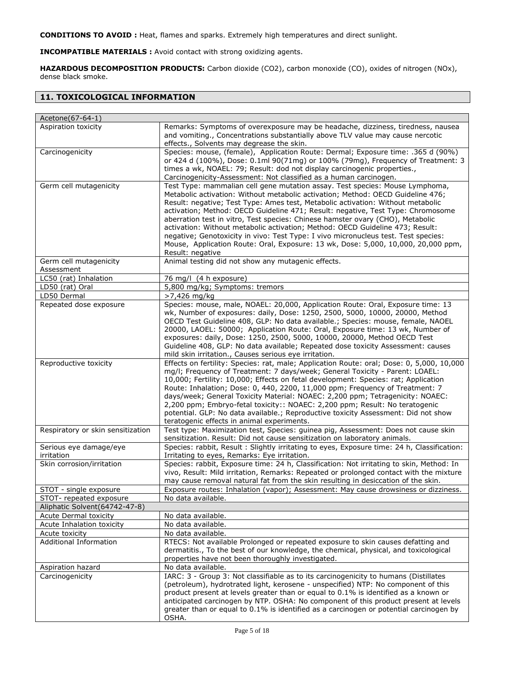**CONDITIONS TO AVOID :** Heat, flames and sparks. Extremely high temperatures and direct sunlight.

**INCOMPATIBLE MATERIALS :** Avoid contact with strong oxidizing agents.

**HAZARDOUS DECOMPOSITION PRODUCTS:** Carbon dioxide (CO2), carbon monoxide (CO), oxides of nitrogen (NOx), dense black smoke.

# **11. TOXICOLOGICAL INFORMATION**

| Acetone(67-64-1)                     |                                                                                                                                                                                                                                                                                                                                                                                                                                                                                                                                                                                                                                                                                                         |
|--------------------------------------|---------------------------------------------------------------------------------------------------------------------------------------------------------------------------------------------------------------------------------------------------------------------------------------------------------------------------------------------------------------------------------------------------------------------------------------------------------------------------------------------------------------------------------------------------------------------------------------------------------------------------------------------------------------------------------------------------------|
| Aspiration toxicity                  | Remarks: Symptoms of overexposure may be headache, dizziness, tiredness, nausea<br>and vomiting., Concentrations substantially above TLV value may cause nercotic<br>effects., Solvents may degrease the skin.                                                                                                                                                                                                                                                                                                                                                                                                                                                                                          |
| Carcinogenicity                      | Species: mouse, (female), Application Route: Dermal; Exposure time: .365 d (90%)<br>or 424 d (100%), Dose: 0.1ml 90(71mg) or 100% (79mg), Frequency of Treatment: 3<br>times a wk, NOAEL: 79; Result: dod not display carcinogenic properties.,<br>Carcinogenicity-Assessment: Not classified as a human carcinogen.                                                                                                                                                                                                                                                                                                                                                                                    |
| Germ cell mutagenicity               | Test Type: mammalian cell gene mutation assay. Test species: Mouse Lymphoma,<br>Metabolic activation: Without metabolic activation; Method: OECD Guideline 476;<br>Result: negative; Test Type: Ames test, Metabolic activation: Without metabolic<br>activation; Method: OECD Guideline 471; Result: negative, Test Type: Chromosome<br>aberration test in vitro, Test species: Chinese hamster ovary (CHO), Metabolic<br>activation: Without metabolic activation; Method: OECD Guideline 473; Result:<br>negative; Genotoxicity in vivo: Test Type: I vivo micronucleus test. Test species:<br>Mouse, Application Route: Oral, Exposure: 13 wk, Dose: 5,000, 10,000, 20,000 ppm,<br>Result: negative |
| Germ cell mutagenicity<br>Assessment | Animal testing did not show any mutagenic effects.                                                                                                                                                                                                                                                                                                                                                                                                                                                                                                                                                                                                                                                      |
| LC50 (rat) Inhalation                | 76 mg/l (4 h exposure)                                                                                                                                                                                                                                                                                                                                                                                                                                                                                                                                                                                                                                                                                  |
| LD50 (rat) Oral                      | 5,800 mg/kg; Symptoms: tremors                                                                                                                                                                                                                                                                                                                                                                                                                                                                                                                                                                                                                                                                          |
| LD50 Dermal                          | >7,426 mg/kg                                                                                                                                                                                                                                                                                                                                                                                                                                                                                                                                                                                                                                                                                            |
| Repeated dose exposure               | Species: mouse, male, NOAEL: 20,000, Application Route: Oral, Exposure time: 13<br>wk, Number of exposures: daily, Dose: 1250, 2500, 5000, 10000, 20000, Method<br>OECD Test Guideline 408, GLP: No data available.; Species: mouse, female, NAOEL<br>20000, LAOEL: 50000; Application Route: Oral, Exposure time: 13 wk, Number of<br>exposures: daily, Dose: 1250, 2500, 5000, 10000, 20000, Method OECD Test<br>Guideline 408, GLP: No data available; Repeated dose toxicity Assessment: causes<br>mild skin irritation., Causes serious eye irritation.                                                                                                                                            |
| Reproductive toxicity                | Effects on fertility: Species: rat, male; Application Route: oral; Dose: 0, 5,000, 10,000<br>mg/l; Frequency of Treatment: 7 days/week; General Toxicity - Parent: LOAEL:<br>10,000; Fertility: 10,000; Effects on fetal development: Species: rat; Application<br>Route: Inhalation; Dose: 0, 440, 2200, 11,000 ppm; Frequency of Treatment: 7<br>days/week; General Toxicity Material: NOAEC: 2,200 ppm; Tetragenicity: NOAEC:<br>2,200 ppm; Embryo-fetal toxicity:: NOAEC: 2,200 ppm; Result: No teratogenic<br>potential. GLP: No data available.; Reproductive toxicity Assessment: Did not show<br>teratogenic effects in animal experiments.                                                     |
| Respiratory or skin sensitization    | Test type: Maximization test, Species: guinea pig, Assessment: Does not cause skin<br>sensitization. Result: Did not cause sensitization on laboratory animals.                                                                                                                                                                                                                                                                                                                                                                                                                                                                                                                                         |
| Serious eye damage/eye<br>irritation | Species: rabbit, Result: Slightly irritating to eyes, Exposure time: 24 h, Classification:<br>Irritating to eyes, Remarks: Eye irritation.                                                                                                                                                                                                                                                                                                                                                                                                                                                                                                                                                              |
| Skin corrosion/irritation            | Species: rabbit, Exposure time: 24 h, Classification: Not irritating to skin, Method: In<br>vivo, Result: Mild irritation, Remarks: Repeated or prolonged contact with the mixture<br>may cause removal natural fat from the skin resulting in desiccation of the skin.                                                                                                                                                                                                                                                                                                                                                                                                                                 |
| STOT - single exposure               | Exposure routes: Inhalation (vapor); Assessment: May cause drowsiness or dizziness.                                                                                                                                                                                                                                                                                                                                                                                                                                                                                                                                                                                                                     |
| STOT- repeated exposure              | No data available.                                                                                                                                                                                                                                                                                                                                                                                                                                                                                                                                                                                                                                                                                      |
| Aliphatic Solvent(64742-47-8)        |                                                                                                                                                                                                                                                                                                                                                                                                                                                                                                                                                                                                                                                                                                         |
| Acute Dermal toxicity                | No data available.                                                                                                                                                                                                                                                                                                                                                                                                                                                                                                                                                                                                                                                                                      |
| Acute Inhalation toxicity            | No data available.                                                                                                                                                                                                                                                                                                                                                                                                                                                                                                                                                                                                                                                                                      |
| Acute toxicity                       | No data available.                                                                                                                                                                                                                                                                                                                                                                                                                                                                                                                                                                                                                                                                                      |
| <b>Additional Information</b>        | RTECS: Not available Prolonged or repeated exposure to skin causes defatting and<br>dermatitis., To the best of our knowledge, the chemical, physical, and toxicological<br>properties have not been thoroughly investigated.                                                                                                                                                                                                                                                                                                                                                                                                                                                                           |
| Aspiration hazard                    | No data available.                                                                                                                                                                                                                                                                                                                                                                                                                                                                                                                                                                                                                                                                                      |
| Carcinogenicity                      | IARC: 3 - Group 3: Not classifiable as to its carcinogenicity to humans (Distillates<br>(petroleum), hydrotrated light, kerosene - unspecified) NTP: No component of this<br>product present at levels greater than or equal to 0.1% is identified as a known or<br>anticipated carcinogen by NTP. OSHA: No component of this product present at levels<br>greater than or equal to 0.1% is identified as a carcinogen or potential carcinogen by<br>OSHA.                                                                                                                                                                                                                                              |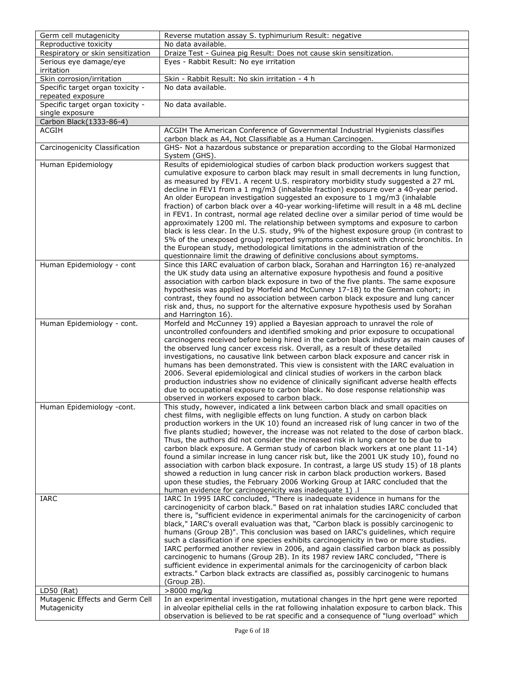| Germ cell mutagenicity            | Reverse mutation assay S. typhimurium Result: negative                                                                                                                     |
|-----------------------------------|----------------------------------------------------------------------------------------------------------------------------------------------------------------------------|
| Reproductive toxicity             | No data available.                                                                                                                                                         |
| Respiratory or skin sensitization | Draize Test - Guinea pig Result: Does not cause skin sensitization.                                                                                                        |
| Serious eye damage/eye            | Eyes - Rabbit Result: No eye irritation                                                                                                                                    |
| irritation                        |                                                                                                                                                                            |
| Skin corrosion/irritation         | Skin - Rabbit Result: No skin irritation - 4 h                                                                                                                             |
| Specific target organ toxicity -  | No data available.                                                                                                                                                         |
| repeated exposure                 |                                                                                                                                                                            |
| Specific target organ toxicity -  | No data available.                                                                                                                                                         |
| single exposure                   |                                                                                                                                                                            |
| Carbon Black(1333-86-4)           |                                                                                                                                                                            |
| <b>ACGIH</b>                      | ACGIH The American Conference of Governmental Industrial Hygienists classifies                                                                                             |
|                                   | carbon black as A4, Not Classifiable as a Human Carcinogen.                                                                                                                |
| Carcinogenicity Classification    | GHS- Not a hazardous substance or preparation according to the Global Harmonized                                                                                           |
|                                   | System (GHS).                                                                                                                                                              |
| Human Epidemiology                | Results of epidemiological studies of carbon black production workers suggest that                                                                                         |
|                                   | cumulative exposure to carbon black may result in small decrements in lung function,                                                                                       |
|                                   | as measured by FEV1. A recent U.S. respiratory morbidity study suggested a 27 mL<br>decline in FEV1 from a 1 mg/m3 (inhalable fraction) exposure over a 40-year period.    |
|                                   | An older European investigation suggested an exposure to 1 mg/m3 (inhalable                                                                                                |
|                                   | fraction) of carbon black over a 40-year working-lifetime will result in a 48 mL decline                                                                                   |
|                                   | in FEV1. In contrast, normal age related decline over a similar period of time would be                                                                                    |
|                                   | approximately 1200 ml. The relationship between symptoms and exposure to carbon                                                                                            |
|                                   | black is less clear. In the U.S. study, 9% of the highest exposure group (in contrast to                                                                                   |
|                                   | 5% of the unexposed group) reported symptoms consistent with chronic bronchitis. In                                                                                        |
|                                   | the European study, methodological limitations in the administration of the                                                                                                |
|                                   | questionnaire limit the drawing of definitive conclusions about symptoms.                                                                                                  |
| Human Epidemiology - cont         | Since this IARC evaluation of carbon black, Sorahan and Harrington 16) re-analyzed                                                                                         |
|                                   | the UK study data using an alternative exposure hypothesis and found a positive                                                                                            |
|                                   | association with carbon black exposure in two of the five plants. The same exposure                                                                                        |
|                                   | hypothesis was applied by Morfeld and McCunney 17-18) to the German cohort; in                                                                                             |
|                                   | contrast, they found no association between carbon black exposure and lung cancer                                                                                          |
|                                   | risk and, thus, no support for the alternative exposure hypothesis used by Sorahan                                                                                         |
|                                   | and Harrington 16).                                                                                                                                                        |
| Human Epidemiology - cont.        | Morfeld and McCunney 19) applied a Bayesian approach to unravel the role of                                                                                                |
|                                   | uncontrolled confounders and identified smoking and prior exposure to occupational                                                                                         |
|                                   | carcinogens received before being hired in the carbon black industry as main causes of                                                                                     |
|                                   | the observed lung cancer excess risk. Overall, as a result of these detailed                                                                                               |
|                                   | investigations, no causative link between carbon black exposure and cancer risk in                                                                                         |
|                                   | humans has been demonstrated. This view is consistent with the IARC evaluation in<br>2006. Several epidemiological and clinical studies of workers in the carbon black     |
|                                   | production industries show no evidence of clinically significant adverse health effects                                                                                    |
|                                   | due to occupational exposure to carbon black. No dose response relationship was                                                                                            |
|                                   | observed in workers exposed to carbon black.                                                                                                                               |
| Human Epidemiology -cont.         | This study, however, indicated a link between carbon black and small opacities on                                                                                          |
|                                   | chest films, with negligible effects on lung function. A study on carbon black                                                                                             |
|                                   | production workers in the UK 10) found an increased risk of lung cancer in two of the                                                                                      |
|                                   | five plants studied; however, the increase was not related to the dose of carbon black.                                                                                    |
|                                   | Thus, the authors did not consider the increased risk in lung cancer to be due to                                                                                          |
|                                   | carbon black exposure. A German study of carbon black workers at one plant 11-14)                                                                                          |
|                                   | found a similar increase in lung cancer risk but, like the 2001 UK study 10), found no                                                                                     |
|                                   | association with carbon black exposure. In contrast, a large US study 15) of 18 plants                                                                                     |
|                                   | showed a reduction in lung cancer risk in carbon black production workers. Based                                                                                           |
|                                   | upon these studies, the February 2006 Working Group at IARC concluded that the                                                                                             |
|                                   | human evidence for carcinogenicity was inadequate 1).                                                                                                                      |
| IARC                              | IARC In 1995 IARC concluded, "There is inadequate evidence in humans for the                                                                                               |
|                                   | carcinogenicity of carbon black." Based on rat inhalation studies IARC concluded that                                                                                      |
|                                   | there is, "sufficient evidence in experimental animals for the carcinogenicity of carbon                                                                                   |
|                                   | black," IARC's overall evaluation was that, "Carbon black is possibly carcinogenic to<br>humans (Group 2B)". This conclusion was based on IARC's guidelines, which require |
|                                   | such a classification if one species exhibits carcinogenicity in two or more studies.                                                                                      |
|                                   | IARC performed another review in 2006, and again classified carbon black as possibly                                                                                       |
|                                   | carcinogenic to humans (Group 2B). In its 1987 review IARC concluded, "There is                                                                                            |
|                                   | sufficient evidence in experimental animals for the carcinogenicity of carbon black                                                                                        |
|                                   | extracts." Carbon black extracts are classified as, possibly carcinogenic to humans                                                                                        |
|                                   | (Group 2B).                                                                                                                                                                |
| $LD50$ (Rat)                      | >8000 mg/kg                                                                                                                                                                |
| Mutagenic Effects and Germ Cell   | In an experimental investigation, mutational changes in the hprt gene were reported                                                                                        |
| Mutagenicity                      | in alveolar epithelial cells in the rat following inhalation exposure to carbon black. This                                                                                |
|                                   | observation is believed to be rat specific and a consequence of "lung overload" which                                                                                      |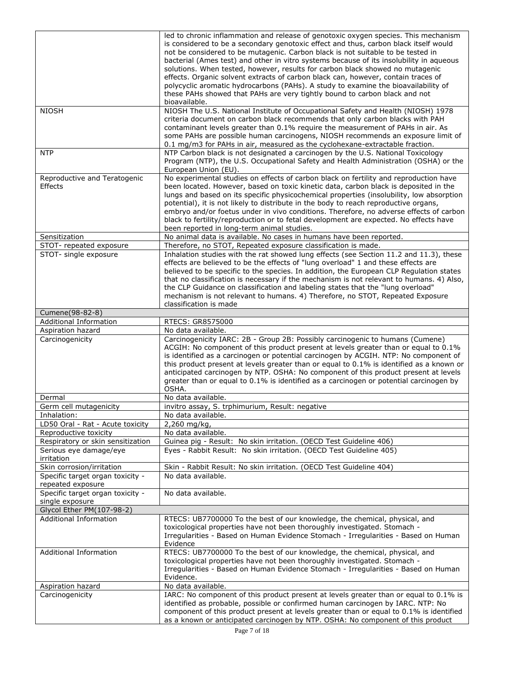|                                                    | led to chronic inflammation and release of genotoxic oxygen species. This mechanism                                                                                        |
|----------------------------------------------------|----------------------------------------------------------------------------------------------------------------------------------------------------------------------------|
|                                                    | is considered to be a secondary genotoxic effect and thus, carbon black itself would                                                                                       |
|                                                    | not be considered to be mutagenic. Carbon black is not suitable to be tested in                                                                                            |
|                                                    | bacterial (Ames test) and other in vitro systems because of its insolubility in aqueous                                                                                    |
|                                                    | solutions. When tested, however, results for carbon black showed no mutagenic                                                                                              |
|                                                    | effects. Organic solvent extracts of carbon black can, however, contain traces of                                                                                          |
|                                                    | polycyclic aromatic hydrocarbons (PAHs). A study to examine the bioavailability of                                                                                         |
|                                                    | these PAHs showed that PAHs are very tightly bound to carbon black and not<br>bioavailable.                                                                                |
| <b>NIOSH</b>                                       | NIOSH The U.S. National Institute of Occupational Safety and Health (NIOSH) 1978                                                                                           |
|                                                    | criteria document on carbon black recommends that only carbon blacks with PAH                                                                                              |
|                                                    | contaminant levels greater than 0.1% require the measurement of PAHs in air. As                                                                                            |
|                                                    | some PAHs are possible human carcinogens, NIOSH recommends an exposure limit of                                                                                            |
|                                                    | 0.1 mg/m3 for PAHs in air, measured as the cyclohexane-extractable fraction.                                                                                               |
| <b>NTP</b>                                         | NTP Carbon black is not designated a carcinogen by the U.S. National Toxicology                                                                                            |
|                                                    | Program (NTP), the U.S. Occupational Safety and Health Administration (OSHA) or the                                                                                        |
| Reproductive and Teratogenic                       | European Union (EU).<br>No experimental studies on effects of carbon black on fertility and reproduction have                                                              |
| Effects                                            | been located. However, based on toxic kinetic data, carbon black is deposited in the                                                                                       |
|                                                    | lungs and based on its specific physicochemical properties (insolubility, low absorption                                                                                   |
|                                                    | potential), it is not likely to distribute in the body to reach reproductive organs,                                                                                       |
|                                                    | embryo and/or foetus under in vivo conditions. Therefore, no adverse effects of carbon                                                                                     |
|                                                    | black to fertility/reproduction or to fetal development are expected. No effects have                                                                                      |
|                                                    | been reported in long-term animal studies.                                                                                                                                 |
| Sensitization                                      | No animal data is available. No cases in humans have been reported.                                                                                                        |
| STOT- repeated exposure                            | Therefore, no STOT, Repeated exposure classification is made.                                                                                                              |
| STOT- single exposure                              | Inhalation studies with the rat showed lung effects (see Section 11.2 and 11.3), these                                                                                     |
|                                                    | effects are believed to be the effects of "lung overload" 1 and these effects are                                                                                          |
|                                                    | believed to be specific to the species. In addition, the European CLP Regulation states                                                                                    |
|                                                    | that no classification is necessary if the mechanism is not relevant to humans. 4) Also,                                                                                   |
|                                                    | the CLP Guidance on classification and labeling states that the "lung overload"                                                                                            |
|                                                    | mechanism is not relevant to humans. 4) Therefore, no STOT, Repeated Exposure                                                                                              |
|                                                    | classification is made                                                                                                                                                     |
| Cumene(98-82-8)                                    |                                                                                                                                                                            |
| <b>Additional Information</b><br>Aspiration hazard | RTECS: GR8575000<br>No data available.                                                                                                                                     |
|                                                    |                                                                                                                                                                            |
|                                                    |                                                                                                                                                                            |
| Carcinogenicity                                    | Carcinogenicity IARC: 2B - Group 2B: Possibly carcinogenic to humans (Cumene)                                                                                              |
|                                                    | ACGIH: No component of this product present at levels greater than or equal to 0.1%                                                                                        |
|                                                    | is identified as a carcinogen or potential carcinogen by ACGIH. NTP: No component of                                                                                       |
|                                                    | this product present at levels greater than or equal to 0.1% is identified as a known or                                                                                   |
|                                                    | anticipated carcinogen by NTP. OSHA: No component of this product present at levels                                                                                        |
|                                                    | greater than or equal to 0.1% is identified as a carcinogen or potential carcinogen by<br>OSHA.                                                                            |
| Dermal                                             | No data available.                                                                                                                                                         |
| Germ cell mutagenicity                             | invitro assay, S. trphimurium, Result: negative                                                                                                                            |
| Inhalation:                                        | No data available.                                                                                                                                                         |
| LD50 Oral - Rat - Acute toxicity                   | $2,260$ mg/kg,                                                                                                                                                             |
| Reproductive toxicity                              | No data available.                                                                                                                                                         |
| Respiratory or skin sensitization                  | Guinea pig - Result: No skin irritation. (OECD Test Guideline 406)                                                                                                         |
| Serious eye damage/eye                             | Eyes - Rabbit Result: No skin irritation. (OECD Test Guideline 405)                                                                                                        |
| irritation                                         |                                                                                                                                                                            |
| Skin corrosion/irritation                          | Skin - Rabbit Result: No skin irritation. (OECD Test Guideline 404)                                                                                                        |
| Specific target organ toxicity -                   | No data available.                                                                                                                                                         |
| repeated exposure                                  |                                                                                                                                                                            |
| Specific target organ toxicity -                   | No data available.                                                                                                                                                         |
| single exposure                                    |                                                                                                                                                                            |
| Glycol Ether PM(107-98-2)                          |                                                                                                                                                                            |
| Additional Information                             | RTECS: UB7700000 To the best of our knowledge, the chemical, physical, and                                                                                                 |
|                                                    | toxicological properties have not been thoroughly investigated. Stomach -<br>Irregularities - Based on Human Evidence Stomach - Irregularities - Based on Human            |
|                                                    | Evidence                                                                                                                                                                   |
| <b>Additional Information</b>                      | RTECS: UB7700000 To the best of our knowledge, the chemical, physical, and                                                                                                 |
|                                                    | toxicological properties have not been thoroughly investigated. Stomach -                                                                                                  |
|                                                    | Irregularities - Based on Human Evidence Stomach - Irregularities - Based on Human                                                                                         |
|                                                    | Evidence.                                                                                                                                                                  |
| Aspiration hazard                                  | No data available.                                                                                                                                                         |
| Carcinogenicity                                    | IARC: No component of this product present at levels greater than or equal to 0.1% is                                                                                      |
|                                                    | identified as probable, possible or confirmed human carcinogen by IARC. NTP: No                                                                                            |
|                                                    | component of this product present at levels greater than or equal to 0.1% is identified<br>as a known or anticipated carcinogen by NTP. OSHA: No component of this product |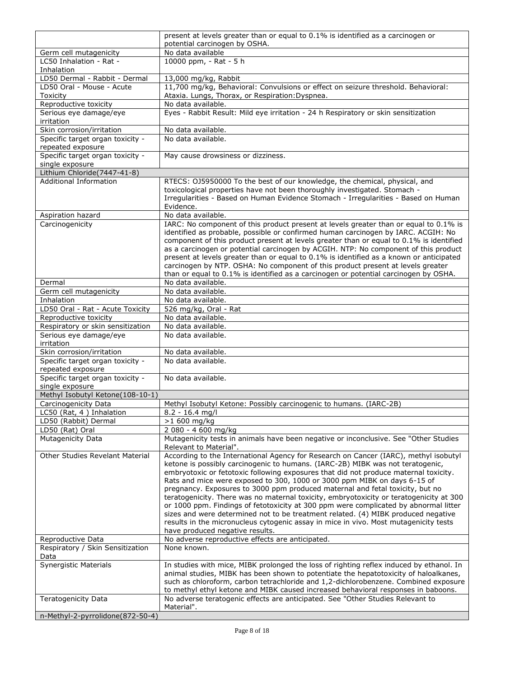|                                                           | present at levels greater than or equal to 0.1% is identified as a carcinogen or                                                                                                                                                                                                                                                                                                                                                                                                                                                                                                                                                                                                                                                                                                                                               |
|-----------------------------------------------------------|--------------------------------------------------------------------------------------------------------------------------------------------------------------------------------------------------------------------------------------------------------------------------------------------------------------------------------------------------------------------------------------------------------------------------------------------------------------------------------------------------------------------------------------------------------------------------------------------------------------------------------------------------------------------------------------------------------------------------------------------------------------------------------------------------------------------------------|
|                                                           | potential carcinogen by OSHA.                                                                                                                                                                                                                                                                                                                                                                                                                                                                                                                                                                                                                                                                                                                                                                                                  |
| Germ cell mutagenicity<br>LC50 Inhalation - Rat -         | No data available<br>10000 ppm, - Rat - 5 h                                                                                                                                                                                                                                                                                                                                                                                                                                                                                                                                                                                                                                                                                                                                                                                    |
| Inhalation                                                |                                                                                                                                                                                                                                                                                                                                                                                                                                                                                                                                                                                                                                                                                                                                                                                                                                |
| LD50 Dermal - Rabbit - Dermal                             | 13,000 mg/kg, Rabbit                                                                                                                                                                                                                                                                                                                                                                                                                                                                                                                                                                                                                                                                                                                                                                                                           |
| LD50 Oral - Mouse - Acute                                 | 11,700 mg/kg, Behavioral: Convulsions or effect on seizure threshold. Behavioral:                                                                                                                                                                                                                                                                                                                                                                                                                                                                                                                                                                                                                                                                                                                                              |
| <b>Toxicity</b>                                           | Ataxia. Lungs, Thorax, or Respiration: Dyspnea.                                                                                                                                                                                                                                                                                                                                                                                                                                                                                                                                                                                                                                                                                                                                                                                |
| Reproductive toxicity<br>Serious eye damage/eye           | No data available.<br>Eyes - Rabbit Result: Mild eye irritation - 24 h Respiratory or skin sensitization                                                                                                                                                                                                                                                                                                                                                                                                                                                                                                                                                                                                                                                                                                                       |
| irritation                                                |                                                                                                                                                                                                                                                                                                                                                                                                                                                                                                                                                                                                                                                                                                                                                                                                                                |
| Skin corrosion/irritation                                 | No data available.                                                                                                                                                                                                                                                                                                                                                                                                                                                                                                                                                                                                                                                                                                                                                                                                             |
| Specific target organ toxicity -<br>repeated exposure     | No data available.                                                                                                                                                                                                                                                                                                                                                                                                                                                                                                                                                                                                                                                                                                                                                                                                             |
| Specific target organ toxicity -                          | May cause drowsiness or dizziness.                                                                                                                                                                                                                                                                                                                                                                                                                                                                                                                                                                                                                                                                                                                                                                                             |
| single exposure                                           |                                                                                                                                                                                                                                                                                                                                                                                                                                                                                                                                                                                                                                                                                                                                                                                                                                |
| Lithium Chloride(7447-41-8)                               |                                                                                                                                                                                                                                                                                                                                                                                                                                                                                                                                                                                                                                                                                                                                                                                                                                |
| <b>Additional Information</b>                             | RTECS: 0J5950000 To the best of our knowledge, the chemical, physical, and<br>toxicological properties have not been thoroughly investigated. Stomach -<br>Irregularities - Based on Human Evidence Stomach - Irregularities - Based on Human<br>Evidence.                                                                                                                                                                                                                                                                                                                                                                                                                                                                                                                                                                     |
| Aspiration hazard                                         | No data available.                                                                                                                                                                                                                                                                                                                                                                                                                                                                                                                                                                                                                                                                                                                                                                                                             |
| Carcinogenicity                                           | IARC: No component of this product present at levels greater than or equal to 0.1% is<br>identified as probable, possible or confirmed human carcinogen by IARC. ACGIH: No<br>component of this product present at levels greater than or equal to 0.1% is identified<br>as a carcinogen or potential carcinogen by ACGIH. NTP: No component of this product<br>present at levels greater than or equal to 0.1% is identified as a known or anticipated<br>carcinogen by NTP. OSHA: No component of this product present at levels greater<br>than or equal to 0.1% is identified as a carcinogen or potential carcinogen by OSHA.                                                                                                                                                                                             |
| Dermal                                                    | No data available.                                                                                                                                                                                                                                                                                                                                                                                                                                                                                                                                                                                                                                                                                                                                                                                                             |
| Germ cell mutagenicity                                    | No data available.                                                                                                                                                                                                                                                                                                                                                                                                                                                                                                                                                                                                                                                                                                                                                                                                             |
| Inhalation                                                | No data available.                                                                                                                                                                                                                                                                                                                                                                                                                                                                                                                                                                                                                                                                                                                                                                                                             |
| LD50 Oral - Rat - Acute Toxicity<br>Reproductive toxicity | 526 mg/kg, Oral - Rat<br>No data available.                                                                                                                                                                                                                                                                                                                                                                                                                                                                                                                                                                                                                                                                                                                                                                                    |
| Respiratory or skin sensitization                         | No data available.                                                                                                                                                                                                                                                                                                                                                                                                                                                                                                                                                                                                                                                                                                                                                                                                             |
| Serious eye damage/eye                                    | No data available.                                                                                                                                                                                                                                                                                                                                                                                                                                                                                                                                                                                                                                                                                                                                                                                                             |
| irritation<br>Skin corrosion/irritation                   | No data available.                                                                                                                                                                                                                                                                                                                                                                                                                                                                                                                                                                                                                                                                                                                                                                                                             |
| Specific target organ toxicity -                          | No data available.                                                                                                                                                                                                                                                                                                                                                                                                                                                                                                                                                                                                                                                                                                                                                                                                             |
| repeated exposure                                         |                                                                                                                                                                                                                                                                                                                                                                                                                                                                                                                                                                                                                                                                                                                                                                                                                                |
| Specific target organ toxicity -<br>single exposure       | No data available.                                                                                                                                                                                                                                                                                                                                                                                                                                                                                                                                                                                                                                                                                                                                                                                                             |
| Methyl Isobutyl Ketone(108-10-1)                          |                                                                                                                                                                                                                                                                                                                                                                                                                                                                                                                                                                                                                                                                                                                                                                                                                                |
| Carcinogenicity Data                                      | Methyl Isobutyl Ketone: Possibly carcinogenic to humans. (IARC-2B)                                                                                                                                                                                                                                                                                                                                                                                                                                                                                                                                                                                                                                                                                                                                                             |
| LC50 (Rat, 4) Inhalation                                  | $8.2 - 16.4$ mg/l                                                                                                                                                                                                                                                                                                                                                                                                                                                                                                                                                                                                                                                                                                                                                                                                              |
| LD50 (Rabbit) Dermal                                      | >1 600 mg/kg                                                                                                                                                                                                                                                                                                                                                                                                                                                                                                                                                                                                                                                                                                                                                                                                                   |
| LD50 (Rat) Oral<br>Mutagenicity Data                      | 2 080 - 4 600 mg/kg<br>Mutagenicity tests in animals have been negative or inconclusive. See "Other Studies                                                                                                                                                                                                                                                                                                                                                                                                                                                                                                                                                                                                                                                                                                                    |
|                                                           | Relevant to Material".                                                                                                                                                                                                                                                                                                                                                                                                                                                                                                                                                                                                                                                                                                                                                                                                         |
| Other Studies Revelant Material                           | According to the International Agency for Research on Cancer (IARC), methyl isobutyl<br>ketone is possibly carcinogenic to humans. (IARC-2B) MIBK was not teratogenic,<br>embryotoxic or fetotoxic following exposures that did not produce maternal toxicity.<br>Rats and mice were exposed to 300, 1000 or 3000 ppm MIBK on days 6-15 of<br>pregnancy. Exposures to 3000 ppm produced maternal and fetal toxicity, but no<br>teratogenicity. There was no maternal toxicity, embryotoxicity or teratogenicity at 300<br>or 1000 ppm. Findings of fetotoxicity at 300 ppm were complicated by abnormal litter<br>sizes and were determined not to be treatment related. (4) MIBK produced negative<br>results in the micronucleus cytogenic assay in mice in vivo. Most mutagenicity tests<br>have produced negative results. |
| Reproductive Data                                         | No adverse reproductive effects are anticipated.                                                                                                                                                                                                                                                                                                                                                                                                                                                                                                                                                                                                                                                                                                                                                                               |
| Respiratory / Skin Sensitization<br>Data                  | None known.                                                                                                                                                                                                                                                                                                                                                                                                                                                                                                                                                                                                                                                                                                                                                                                                                    |
| Synergistic Materials                                     | In studies with mice, MIBK prolonged the loss of righting reflex induced by ethanol. In<br>animal studies, MIBK has been shown to potentiate the hepatotoxicity of haloalkanes,<br>such as chloroform, carbon tetrachloride and 1,2-dichlorobenzene. Combined exposure                                                                                                                                                                                                                                                                                                                                                                                                                                                                                                                                                         |
| <b>Teratogenicity Data</b>                                | to methyl ethyl ketone and MIBK caused increased behavioral responses in baboons.<br>No adverse teratogenic effects are anticipated. See "Other Studies Relevant to<br>Material".                                                                                                                                                                                                                                                                                                                                                                                                                                                                                                                                                                                                                                              |
| n-Methyl-2-pyrrolidone(872-50-4)                          |                                                                                                                                                                                                                                                                                                                                                                                                                                                                                                                                                                                                                                                                                                                                                                                                                                |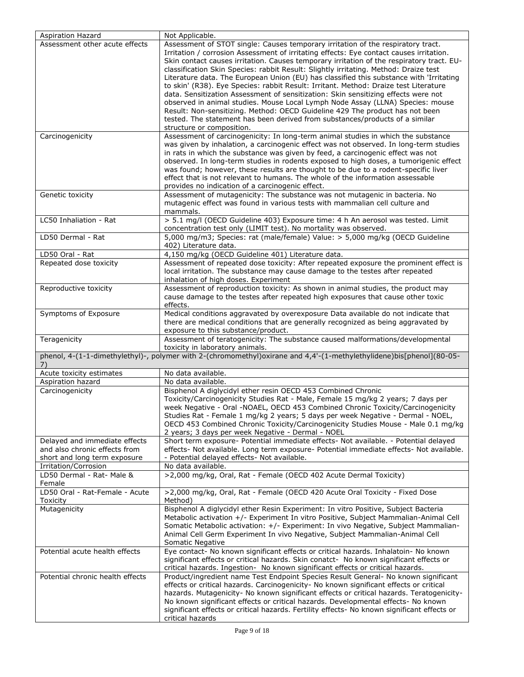| Aspiration Hazard                                                                              | Not Applicable.                                                                                                                                                                                                                                                                                                                                                                                                                                                                                                                                                                                                                                                                                                                                                                                                                                                                                                          |
|------------------------------------------------------------------------------------------------|--------------------------------------------------------------------------------------------------------------------------------------------------------------------------------------------------------------------------------------------------------------------------------------------------------------------------------------------------------------------------------------------------------------------------------------------------------------------------------------------------------------------------------------------------------------------------------------------------------------------------------------------------------------------------------------------------------------------------------------------------------------------------------------------------------------------------------------------------------------------------------------------------------------------------|
| Assessment other acute effects                                                                 | Assessment of STOT single: Causes temporary irritation of the respiratory tract.<br>Irritation / corrosion Assessment of irritating effects: Eye contact causes irritation.<br>Skin contact causes irritation. Causes temporary irritation of the respiratory tract. EU-<br>classification Skin Species: rabbit Result: Slightly irritating. Method: Draize test<br>Literature data. The European Union (EU) has classified this substance with 'Irritating<br>to skin' (R38). Eye Species: rabbit Result: Irritant. Method: Draize test Literature<br>data. Sensitization Assessment of sensitization: Skin sensitizing effects were not<br>observed in animal studies. Mouse Local Lymph Node Assay (LLNA) Species: mouse<br>Result: Non-sensitizing. Method: OECD Guideline 429 The product has not been<br>tested. The statement has been derived from substances/products of a similar<br>structure or composition. |
| Carcinogenicity                                                                                | Assessment of carcinogenicity: In long-term animal studies in which the substance<br>was given by inhalation, a carcinogenic effect was not observed. In long-term studies<br>in rats in which the substance was given by feed, a carcinogenic effect was not<br>observed. In long-term studies in rodents exposed to high doses, a tumorigenic effect<br>was found; however, these results are thought to be due to a rodent-specific liver<br>effect that is not relevant to humans. The whole of the information assessable<br>provides no indication of a carcinogenic effect.                                                                                                                                                                                                                                                                                                                                       |
| Genetic toxicity                                                                               | Assessment of mutagenicity: The substance was not mutagenic in bacteria. No<br>mutagenic effect was found in various tests with mammalian cell culture and<br>mammals.                                                                                                                                                                                                                                                                                                                                                                                                                                                                                                                                                                                                                                                                                                                                                   |
| LC50 Inhaliation - Rat                                                                         | > 5.1 mg/l (OECD Guideline 403) Exposure time: 4 h An aerosol was tested. Limit<br>concentration test only (LIMIT test). No mortality was observed.                                                                                                                                                                                                                                                                                                                                                                                                                                                                                                                                                                                                                                                                                                                                                                      |
| LD50 Dermal - Rat                                                                              | 5,000 mg/m3; Species: rat (male/female) Value: > 5,000 mg/kg (OECD Guideline<br>402) Literature data.                                                                                                                                                                                                                                                                                                                                                                                                                                                                                                                                                                                                                                                                                                                                                                                                                    |
| LD50 Oral - Rat                                                                                | 4,150 mg/kg (OECD Guideline 401) Literature data.                                                                                                                                                                                                                                                                                                                                                                                                                                                                                                                                                                                                                                                                                                                                                                                                                                                                        |
| Repeated dose toxicity                                                                         | Assessment of repeated dose toxicity: After repeated exposure the prominent effect is<br>local irritation. The substance may cause damage to the testes after repeated<br>inhalation of high doses. Experiment                                                                                                                                                                                                                                                                                                                                                                                                                                                                                                                                                                                                                                                                                                           |
| Reproductive toxicity                                                                          | Assessment of reproduction toxicity: As shown in animal studies, the product may<br>cause damage to the testes after repeated high exposures that cause other toxic<br>effects.                                                                                                                                                                                                                                                                                                                                                                                                                                                                                                                                                                                                                                                                                                                                          |
| Symptoms of Exposure                                                                           | Medical conditions aggravated by overexposure Data available do not indicate that<br>there are medical conditions that are generally recognized as being aggravated by<br>exposure to this substance/product.                                                                                                                                                                                                                                                                                                                                                                                                                                                                                                                                                                                                                                                                                                            |
| Teragenicity                                                                                   | Assessment of teratogenicity: The substance caused malformations/developmental<br>toxicity in laboratory animals.                                                                                                                                                                                                                                                                                                                                                                                                                                                                                                                                                                                                                                                                                                                                                                                                        |
| 7)                                                                                             | phenol, 4-(1-1-dimethylethyl)-, polymer with 2-(chromomethyl)oxirane and 4,4'-(1-methylethylidene)bis[phenol](80-05-                                                                                                                                                                                                                                                                                                                                                                                                                                                                                                                                                                                                                                                                                                                                                                                                     |
| Acute toxicity estimates                                                                       | No data available.                                                                                                                                                                                                                                                                                                                                                                                                                                                                                                                                                                                                                                                                                                                                                                                                                                                                                                       |
| Aspiration hazard<br>Carcinogenicity                                                           | No data available.                                                                                                                                                                                                                                                                                                                                                                                                                                                                                                                                                                                                                                                                                                                                                                                                                                                                                                       |
|                                                                                                | Bisphenol A diglycidyl ether resin OECD 453 Combined Chronic<br>Toxicity/Carcinogenicity Studies Rat - Male, Female 15 mg/kg 2 years; 7 days per<br>week Negative - Oral -NOAEL, OECD 453 Combined Chronic Toxicity/Carcinogenicity<br>Studies Rat - Female 1 mg/kg 2 years; 5 days per week Negative - Dermal - NOEL,<br>OECD 453 Combined Chronic Toxicity/Carcinogenicity Studies Mouse - Male 0.1 mg/kg<br>2 years; 3 days per week Negative - Dermal - NOEL                                                                                                                                                                                                                                                                                                                                                                                                                                                         |
| Delayed and immediate effects<br>and also chronic effects from<br>short and long term exposure | Short term exposure- Potential immediate effects- Not available. - Potential delayed<br>effects- Not available. Long term exposure- Potential immediate effects- Not available.<br>- Potential delayed effects- Not available.                                                                                                                                                                                                                                                                                                                                                                                                                                                                                                                                                                                                                                                                                           |
| Irritation/Corrosion                                                                           | No data available.                                                                                                                                                                                                                                                                                                                                                                                                                                                                                                                                                                                                                                                                                                                                                                                                                                                                                                       |
| LD50 Dermal - Rat- Male &<br>Female                                                            | >2,000 mg/kg, Oral, Rat - Female (OECD 402 Acute Dermal Toxicity)                                                                                                                                                                                                                                                                                                                                                                                                                                                                                                                                                                                                                                                                                                                                                                                                                                                        |
| LD50 Oral - Rat-Female - Acute<br>Toxicity                                                     | >2,000 mg/kg, Oral, Rat - Female (OECD 420 Acute Oral Toxicity - Fixed Dose<br>Method)                                                                                                                                                                                                                                                                                                                                                                                                                                                                                                                                                                                                                                                                                                                                                                                                                                   |
| Mutagenicity                                                                                   | Bisphenol A diglycidyl ether Resin Experiment: In vitro Positive, Subject Bacteria<br>Metabolic activation +/- Experiment In vitro Positive, Subject Mammalian-Animal Cell<br>Somatic Metabolic activation: +/- Experiment: In vivo Negative, Subject Mammalian-<br>Animal Cell Germ Experiment In vivo Negative, Subject Mammalian-Animal Cell<br>Somatic Negative                                                                                                                                                                                                                                                                                                                                                                                                                                                                                                                                                      |
| Potential acute health effects                                                                 | Eye contact- No known significant effects or critical hazards. Inhalatoin- No known<br>significant effects or critical hazards. Skin conatct- No known significant effects or<br>critical hazards. Ingestion- No known significant effects or critical hazards.                                                                                                                                                                                                                                                                                                                                                                                                                                                                                                                                                                                                                                                          |
| Potential chronic health effects                                                               | Product/ingredient name Test Endpoint Species Result General- No known significant<br>effects or critical hazards. Carcinogenicity- No known significant effects or critical<br>hazards. Mutagenicity- No known significant effects or critical hazards. Teratogenicity-<br>No known significant effects or critical hazards. Developmental effects- No known<br>significant effects or critical hazards. Fertility effects- No known significant effects or<br>critical hazards                                                                                                                                                                                                                                                                                                                                                                                                                                         |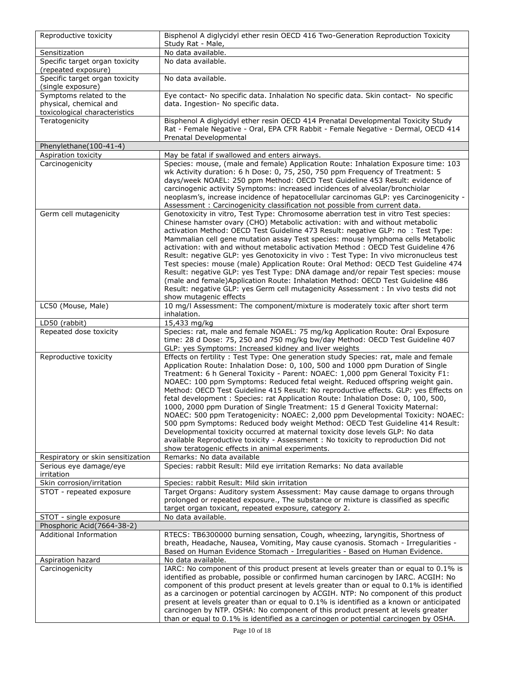| Reproductive toxicity                               | Bisphenol A diglycidyl ether resin OECD 416 Two-Generation Reproduction Toxicity<br>Study Rat - Male,                                                                                                                                                                                                                                                                                                                                                                                                                                                                                                                                                                                                                                                                                                                                                                                                                                                                                                |
|-----------------------------------------------------|------------------------------------------------------------------------------------------------------------------------------------------------------------------------------------------------------------------------------------------------------------------------------------------------------------------------------------------------------------------------------------------------------------------------------------------------------------------------------------------------------------------------------------------------------------------------------------------------------------------------------------------------------------------------------------------------------------------------------------------------------------------------------------------------------------------------------------------------------------------------------------------------------------------------------------------------------------------------------------------------------|
| Sensitization                                       | No data available.                                                                                                                                                                                                                                                                                                                                                                                                                                                                                                                                                                                                                                                                                                                                                                                                                                                                                                                                                                                   |
| Specific target organ toxicity                      | No data available.                                                                                                                                                                                                                                                                                                                                                                                                                                                                                                                                                                                                                                                                                                                                                                                                                                                                                                                                                                                   |
| (repeated exposure)                                 | No data available.                                                                                                                                                                                                                                                                                                                                                                                                                                                                                                                                                                                                                                                                                                                                                                                                                                                                                                                                                                                   |
| Specific target organ toxicity<br>(single exposure) |                                                                                                                                                                                                                                                                                                                                                                                                                                                                                                                                                                                                                                                                                                                                                                                                                                                                                                                                                                                                      |
| Symptoms related to the                             | Eye contact- No specific data. Inhalation No specific data. Skin contact- No specific                                                                                                                                                                                                                                                                                                                                                                                                                                                                                                                                                                                                                                                                                                                                                                                                                                                                                                                |
| physical, chemical and                              | data. Ingestion- No specific data.                                                                                                                                                                                                                                                                                                                                                                                                                                                                                                                                                                                                                                                                                                                                                                                                                                                                                                                                                                   |
| toxicological characteristics                       |                                                                                                                                                                                                                                                                                                                                                                                                                                                                                                                                                                                                                                                                                                                                                                                                                                                                                                                                                                                                      |
| Teratogenicity                                      | Bisphenol A diglycidyl ether resin OECD 414 Prenatal Developmental Toxicity Study<br>Rat - Female Negative - Oral, EPA CFR Rabbit - Female Negative - Dermal, OECD 414                                                                                                                                                                                                                                                                                                                                                                                                                                                                                                                                                                                                                                                                                                                                                                                                                               |
|                                                     | Prenatal Developmental                                                                                                                                                                                                                                                                                                                                                                                                                                                                                                                                                                                                                                                                                                                                                                                                                                                                                                                                                                               |
| Phenylethane(100-41-4)                              |                                                                                                                                                                                                                                                                                                                                                                                                                                                                                                                                                                                                                                                                                                                                                                                                                                                                                                                                                                                                      |
| Aspiration toxicity                                 | May be fatal if swallowed and enters airways.                                                                                                                                                                                                                                                                                                                                                                                                                                                                                                                                                                                                                                                                                                                                                                                                                                                                                                                                                        |
| Carcinogenicity                                     | Species: mouse, (male and female) Application Route: Inhalation Exposure time: 103<br>wk Activity duration: 6 h Dose: 0, 75, 250, 750 ppm Frequency of Treatment: 5<br>days/week NOAEL: 250 ppm Method: OECD Test Guideline 453 Result: evidence of<br>carcinogenic activity Symptoms: increased incidences of alveolar/bronchiolar<br>neoplasm's, increase incidence of hepatocellular carcinomas GLP: yes Carcinogenicity -                                                                                                                                                                                                                                                                                                                                                                                                                                                                                                                                                                        |
| Germ cell mutagenicity                              | Assessment: Carcinogenicity classification not possible from current data.<br>Genotoxicity in vitro, Test Type: Chromosome aberration test in vitro Test species:                                                                                                                                                                                                                                                                                                                                                                                                                                                                                                                                                                                                                                                                                                                                                                                                                                    |
|                                                     | Chinese hamster ovary (CHO) Metabolic activation: with and without metabolic<br>activation Method: OECD Test Guideline 473 Result: negative GLP: no : Test Type:<br>Mammalian cell gene mutation assay Test species: mouse lymphoma cells Metabolic<br>activation: with and without metabolic activation Method: OECD Test Guideline 476<br>Result: negative GLP: yes Genotoxicity in vivo: Test Type: In vivo micronucleus test<br>Test species: mouse (male) Application Route: Oral Method: OECD Test Guideline 474<br>Result: negative GLP: yes Test Type: DNA damage and/or repair Test species: mouse<br>(male and female) Application Route: Inhalation Method: OECD Test Guideline 486<br>Result: negative GLP: yes Germ cell mutagenicity Assessment : In vivo tests did not<br>show mutagenic effects                                                                                                                                                                                      |
| LC50 (Mouse, Male)                                  | 10 mg/l Assessment: The component/mixture is moderately toxic after short term<br>inhalation.                                                                                                                                                                                                                                                                                                                                                                                                                                                                                                                                                                                                                                                                                                                                                                                                                                                                                                        |
| LD50 (rabbit)                                       | 15,433 mg/kg                                                                                                                                                                                                                                                                                                                                                                                                                                                                                                                                                                                                                                                                                                                                                                                                                                                                                                                                                                                         |
| Repeated dose toxicity                              | Species: rat, male and female NOAEL: 75 mg/kg Application Route: Oral Exposure<br>time: 28 d Dose: 75, 250 and 750 mg/kg bw/day Method: OECD Test Guideline 407<br>GLP: yes Symptoms: Increased kidney and liver weights                                                                                                                                                                                                                                                                                                                                                                                                                                                                                                                                                                                                                                                                                                                                                                             |
| Reproductive toxicity                               | Effects on fertility: Test Type: One generation study Species: rat, male and female<br>Application Route: Inhalation Dose: 0, 100, 500 and 1000 ppm Duration of Single<br>Treatment: 6 h General Toxicity - Parent: NOAEC: 1,000 ppm General Toxicity F1:<br>NOAEC: 100 ppm Symptoms: Reduced fetal weight. Reduced offspring weight gain.<br>Method: OECD Test Guideline 415 Result: No reproductive effects. GLP: yes Effects on<br>fetal development : Species: rat Application Route: Inhalation Dose: 0, 100, 500,<br>1000, 2000 ppm Duration of Single Treatment: 15 d General Toxicity Maternal:<br>NOAEC: 500 ppm Teratogenicity: NOAEC: 2,000 ppm Developmental Toxicity: NOAEC:<br>500 ppm Symptoms: Reduced body weight Method: OECD Test Guideline 414 Result:<br>Developmental toxicity occurred at maternal toxicity dose levels GLP: No data<br>available Reproductive toxicity - Assessment : No toxicity to reproduction Did not<br>show teratogenic effects in animal experiments. |
| Respiratory or skin sensitization                   | Remarks: No data available                                                                                                                                                                                                                                                                                                                                                                                                                                                                                                                                                                                                                                                                                                                                                                                                                                                                                                                                                                           |
| Serious eye damage/eye<br>irritation                | Species: rabbit Result: Mild eye irritation Remarks: No data available                                                                                                                                                                                                                                                                                                                                                                                                                                                                                                                                                                                                                                                                                                                                                                                                                                                                                                                               |
| Skin corrosion/irritation                           | Species: rabbit Result: Mild skin irritation                                                                                                                                                                                                                                                                                                                                                                                                                                                                                                                                                                                                                                                                                                                                                                                                                                                                                                                                                         |
| STOT - repeated exposure                            | Target Organs: Auditory system Assessment: May cause damage to organs through<br>prolonged or repeated exposure., The substance or mixture is classified as specific<br>target organ toxicant, repeated exposure, category 2.                                                                                                                                                                                                                                                                                                                                                                                                                                                                                                                                                                                                                                                                                                                                                                        |
| STOT - single exposure                              | No data available.                                                                                                                                                                                                                                                                                                                                                                                                                                                                                                                                                                                                                                                                                                                                                                                                                                                                                                                                                                                   |
| Phosphoric Acid(7664-38-2)                          |                                                                                                                                                                                                                                                                                                                                                                                                                                                                                                                                                                                                                                                                                                                                                                                                                                                                                                                                                                                                      |
| <b>Additional Information</b>                       | RTECS: TB6300000 burning sensation, Cough, wheezing, laryngitis, Shortness of<br>breath, Headache, Nausea, Vomiting, May cause cyanosis. Stomach - Irregularities -<br>Based on Human Evidence Stomach - Irregularities - Based on Human Evidence.                                                                                                                                                                                                                                                                                                                                                                                                                                                                                                                                                                                                                                                                                                                                                   |
| Aspiration hazard<br>Carcinogenicity                | No data available.<br>IARC: No component of this product present at levels greater than or equal to 0.1% is                                                                                                                                                                                                                                                                                                                                                                                                                                                                                                                                                                                                                                                                                                                                                                                                                                                                                          |
|                                                     | identified as probable, possible or confirmed human carcinogen by IARC. ACGIH: No<br>component of this product present at levels greater than or equal to 0.1% is identified<br>as a carcinogen or potential carcinogen by ACGIH. NTP: No component of this product<br>present at levels greater than or equal to 0.1% is identified as a known or anticipated<br>carcinogen by NTP. OSHA: No component of this product present at levels greater<br>than or equal to 0.1% is identified as a carcinogen or potential carcinogen by OSHA.                                                                                                                                                                                                                                                                                                                                                                                                                                                            |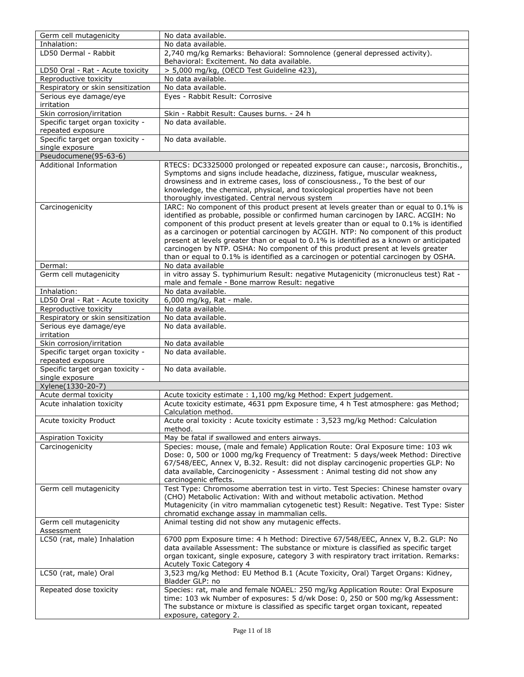| Germ cell mutagenicity            | No data available.                                                                      |
|-----------------------------------|-----------------------------------------------------------------------------------------|
| Inhalation:                       | No data available.                                                                      |
| LD50 Dermal - Rabbit              | 2,740 mg/kg Remarks: Behavioral: Somnolence (general depressed activity).               |
|                                   | Behavioral: Excitement. No data available.                                              |
| LD50 Oral - Rat - Acute toxicity  | > 5,000 mg/kg, (OECD Test Guideline 423),                                               |
| Reproductive toxicity             | No data available.                                                                      |
| Respiratory or skin sensitization | No data available.                                                                      |
|                                   |                                                                                         |
| Serious eye damage/eye            | Eyes - Rabbit Result: Corrosive                                                         |
| irritation                        |                                                                                         |
| Skin corrosion/irritation         | Skin - Rabbit Result: Causes burns. - 24 h                                              |
| Specific target organ toxicity -  | No data available.                                                                      |
| repeated exposure                 |                                                                                         |
| Specific target organ toxicity -  | No data available.                                                                      |
| single exposure                   |                                                                                         |
| Pseudocumene(95-63-6)             |                                                                                         |
| <b>Additional Information</b>     | RTECS: DC3325000 prolonged or repeated exposure can cause:, narcosis, Bronchitis.,      |
|                                   | Symptoms and signs include headache, dizziness, fatigue, muscular weakness,             |
|                                   | drowsiness and in extreme cases, loss of consciousness., To the best of our             |
|                                   | knowledge, the chemical, physical, and toxicological properties have not been           |
|                                   | thoroughly investigated. Central nervous system                                         |
| Carcinogenicity                   | IARC: No component of this product present at levels greater than or equal to 0.1% is   |
|                                   | identified as probable, possible or confirmed human carcinogen by IARC. ACGIH: No       |
|                                   | component of this product present at levels greater than or equal to 0.1% is identified |
|                                   | as a carcinogen or potential carcinogen by ACGIH. NTP: No component of this product     |
|                                   | present at levels greater than or equal to 0.1% is identified as a known or anticipated |
|                                   | carcinogen by NTP. OSHA: No component of this product present at levels greater         |
|                                   | than or equal to 0.1% is identified as a carcinogen or potential carcinogen by OSHA.    |
| Dermal:                           | No data available                                                                       |
| Germ cell mutagenicity            | in vitro assay S. typhimurium Result: negative Mutagenicity (micronucleus test) Rat -   |
|                                   | male and female - Bone marrow Result: negative                                          |
| Inhalation:                       | No data available.                                                                      |
|                                   |                                                                                         |
| LD50 Oral - Rat - Acute toxicity  | 6,000 mg/kg, Rat - male.                                                                |
| Reproductive toxicity             | No data available.                                                                      |
| Respiratory or skin sensitization | No data available.                                                                      |
| Serious eye damage/eye            | No data available.                                                                      |
| irritation                        |                                                                                         |
| Skin corrosion/irritation         | No data available                                                                       |
| Specific target organ toxicity -  | No data available.                                                                      |
| repeated exposure                 |                                                                                         |
| Specific target organ toxicity -  | No data available.                                                                      |
| single exposure                   |                                                                                         |
| Xylene(1330-20-7)                 |                                                                                         |
| Acute dermal toxicity             | Acute toxicity estimate : 1,100 mg/kg Method: Expert judgement.                         |
| Acute inhalation toxicity         | Acute toxicity estimate, 4631 ppm Exposure time, 4 h Test atmosphere: gas Method;       |
|                                   | Calculation method.                                                                     |
| Acute toxicity Product            | Acute oral toxicity: Acute toxicity estimate: 3,523 mg/kg Method: Calculation           |
|                                   | method.                                                                                 |
| <b>Aspiration Toxicity</b>        | May be fatal if swallowed and enters airways.                                           |
| Carcinogenicity                   | Species: mouse, (male and female) Application Route: Oral Exposure time: 103 wk         |
|                                   | Dose: 0, 500 or 1000 mg/kg Frequency of Treatment: 5 days/week Method: Directive        |
|                                   | 67/548/EEC, Annex V, B.32. Result: did not display carcinogenic properties GLP: No      |
|                                   | data available, Carcinogenicity - Assessment : Animal testing did not show any          |
|                                   | carcinogenic effects.                                                                   |
| Germ cell mutagenicity            | Test Type: Chromosome aberration test in virto. Test Species: Chinese hamster ovary     |
|                                   | (CHO) Metabolic Activation: With and without metabolic activation. Method               |
|                                   | Mutagenicity (in vitro mammalian cytogenetic test) Result: Negative. Test Type: Sister  |
|                                   | chromatid exchange assay in mammalian cells.                                            |
| Germ cell mutagenicity            | Animal testing did not show any mutagenic effects.                                      |
| Assessment                        |                                                                                         |
| LC50 (rat, male) Inhalation       | 6700 ppm Exposure time: 4 h Method: Directive 67/548/EEC, Annex V, B.2. GLP: No         |
|                                   | data available Assessment: The substance or mixture is classified as specific target    |
|                                   | organ toxicant, single exposure, category 3 with respiratory tract irritation. Remarks: |
|                                   |                                                                                         |
|                                   | <b>Acutely Toxic Category 4</b>                                                         |
| LC50 (rat, male) Oral             | 3,523 mg/kg Method: EU Method B.1 (Acute Toxicity, Oral) Target Organs: Kidney,         |
|                                   | Bladder GLP: no                                                                         |
| Repeated dose toxicity            | Species: rat, male and female NOAEL: 250 mg/kg Application Route: Oral Exposure         |
|                                   | time: 103 wk Number of exposures: 5 d/wk Dose: 0, 250 or 500 mg/kg Assessment:          |
|                                   | The substance or mixture is classified as specific target organ toxicant, repeated      |
|                                   | exposure, category 2.                                                                   |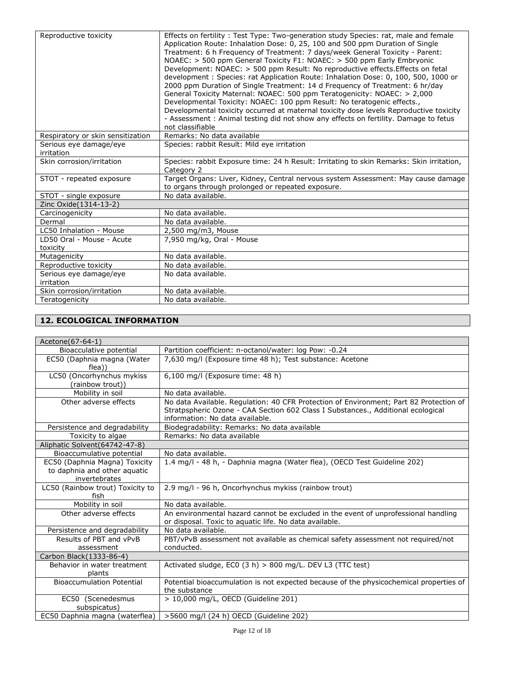| Reproductive toxicity                 | Effects on fertility: Test Type: Two-generation study Species: rat, male and female<br>Application Route: Inhalation Dose: 0, 25, 100 and 500 ppm Duration of Single<br>Treatment: 6 h Frequency of Treatment: 7 days/week General Toxicity - Parent:<br>NOAEC: $>$ 500 ppm General Toxicity F1: NOAEC: $>$ 500 ppm Early Embryonic<br>Development: NOAEC: > 500 ppm Result: No reproductive effects. Effects on fetal<br>development : Species: rat Application Route: Inhalation Dose: 0, 100, 500, 1000 or<br>2000 ppm Duration of Single Treatment: 14 d Frequency of Treatment: 6 hr/day<br>General Toxicity Maternal: NOAEC: 500 ppm Teratogenicity: NOAEC: > 2,000<br>Developmental Toxicity: NOAEC: 100 ppm Result: No teratogenic effects.,<br>Developmental toxicity occurred at maternal toxicity dose levels Reproductive toxicity<br>- Assessment: Animal testing did not show any effects on fertility. Damage to fetus<br>not classifiable |
|---------------------------------------|-----------------------------------------------------------------------------------------------------------------------------------------------------------------------------------------------------------------------------------------------------------------------------------------------------------------------------------------------------------------------------------------------------------------------------------------------------------------------------------------------------------------------------------------------------------------------------------------------------------------------------------------------------------------------------------------------------------------------------------------------------------------------------------------------------------------------------------------------------------------------------------------------------------------------------------------------------------|
| Respiratory or skin sensitization     | Remarks: No data available                                                                                                                                                                                                                                                                                                                                                                                                                                                                                                                                                                                                                                                                                                                                                                                                                                                                                                                                |
| Serious eye damage/eye<br>irritation  | Species: rabbit Result: Mild eye irritation                                                                                                                                                                                                                                                                                                                                                                                                                                                                                                                                                                                                                                                                                                                                                                                                                                                                                                               |
| Skin corrosion/irritation             | Species: rabbit Exposure time: 24 h Result: Irritating to skin Remarks: Skin irritation,<br>Category 2                                                                                                                                                                                                                                                                                                                                                                                                                                                                                                                                                                                                                                                                                                                                                                                                                                                    |
| STOT - repeated exposure              | Target Organs: Liver, Kidney, Central nervous system Assessment: May cause damage<br>to organs through prolonged or repeated exposure.                                                                                                                                                                                                                                                                                                                                                                                                                                                                                                                                                                                                                                                                                                                                                                                                                    |
| STOT - single exposure                | No data available.                                                                                                                                                                                                                                                                                                                                                                                                                                                                                                                                                                                                                                                                                                                                                                                                                                                                                                                                        |
| Zinc Oxide(1314-13-2)                 |                                                                                                                                                                                                                                                                                                                                                                                                                                                                                                                                                                                                                                                                                                                                                                                                                                                                                                                                                           |
| Carcinogenicity                       | No data available.                                                                                                                                                                                                                                                                                                                                                                                                                                                                                                                                                                                                                                                                                                                                                                                                                                                                                                                                        |
| Dermal                                | No data available.                                                                                                                                                                                                                                                                                                                                                                                                                                                                                                                                                                                                                                                                                                                                                                                                                                                                                                                                        |
| LC50 Inhalation - Mouse               | 2,500 mg/m3, Mouse                                                                                                                                                                                                                                                                                                                                                                                                                                                                                                                                                                                                                                                                                                                                                                                                                                                                                                                                        |
| LD50 Oral - Mouse - Acute<br>toxicity | 7.950 mg/kg, Oral - Mouse                                                                                                                                                                                                                                                                                                                                                                                                                                                                                                                                                                                                                                                                                                                                                                                                                                                                                                                                 |
| Mutagenicity                          | No data available.                                                                                                                                                                                                                                                                                                                                                                                                                                                                                                                                                                                                                                                                                                                                                                                                                                                                                                                                        |
| Reproductive toxicity                 | No data available.                                                                                                                                                                                                                                                                                                                                                                                                                                                                                                                                                                                                                                                                                                                                                                                                                                                                                                                                        |
| Serious eye damage/eye<br>irritation  | No data available.                                                                                                                                                                                                                                                                                                                                                                                                                                                                                                                                                                                                                                                                                                                                                                                                                                                                                                                                        |
| Skin corrosion/irritation             | No data available.                                                                                                                                                                                                                                                                                                                                                                                                                                                                                                                                                                                                                                                                                                                                                                                                                                                                                                                                        |
| Teratogenicity                        | No data available.                                                                                                                                                                                                                                                                                                                                                                                                                                                                                                                                                                                                                                                                                                                                                                                                                                                                                                                                        |

# **12. ECOLOGICAL INFORMATION**

| Acetone(67-64-1)                                                               |                                                                                                                                                                                                               |
|--------------------------------------------------------------------------------|---------------------------------------------------------------------------------------------------------------------------------------------------------------------------------------------------------------|
| Bioacculative potential                                                        | Partition coefficient: n-octanol/water: log Pow: -0.24                                                                                                                                                        |
| EC50 (Daphnia magna (Water<br>flea))                                           | 7,630 mg/l (Exposure time 48 h); Test substance: Acetone                                                                                                                                                      |
| LC50 (Oncorhynchus mykiss<br>(rainbow trout))                                  | 6,100 mg/l (Exposure time: 48 h)                                                                                                                                                                              |
| Mobility in soil                                                               | No data available.                                                                                                                                                                                            |
| Other adverse effects                                                          | No data Available. Regulation: 40 CFR Protection of Environment; Part 82 Protection of<br>Stratpspheric Ozone - CAA Section 602 Class I Substances., Additional ecological<br>information: No data available. |
| Persistence and degradability                                                  | Biodegradability: Remarks: No data available                                                                                                                                                                  |
| Toxicity to algae                                                              | Remarks: No data available                                                                                                                                                                                    |
| Aliphatic Solvent (64742-47-8)                                                 |                                                                                                                                                                                                               |
| Bioaccumulative potential                                                      | No data available.                                                                                                                                                                                            |
| EC50 (Daphnia Magna) Toxicity<br>to daphnia and other aquatic<br>invertebrates | 1.4 mg/l - 48 h, - Daphnia magna (Water flea), (OECD Test Guideline 202)                                                                                                                                      |
| LC50 (Rainbow trout) Toxicity to<br>fish                                       | 2.9 mg/l - 96 h, Oncorhynchus mykiss (rainbow trout)                                                                                                                                                          |
| Mobility in soil                                                               | No data available.                                                                                                                                                                                            |
| Other adverse effects                                                          | An environmental hazard cannot be excluded in the event of unprofessional handling<br>or disposal. Toxic to aquatic life. No data available.                                                                  |
| Persistence and degradability                                                  | No data available.                                                                                                                                                                                            |
| Results of PBT and vPvB<br>assessment                                          | PBT/vPvB assessment not available as chemical safety assessment not required/not<br>conducted.                                                                                                                |
| Carbon Black(1333-86-4)                                                        |                                                                                                                                                                                                               |
| Behavior in water treatment<br>plants                                          | Activated sludge, EC0 $(3 h) > 800$ mg/L. DEV L3 (TTC test)                                                                                                                                                   |
| <b>Bioaccumulation Potential</b>                                               | Potential bioaccumulation is not expected because of the physicochemical properties of<br>the substance                                                                                                       |
| EC50 (Scenedesmus<br>subspicatus)                                              | > 10,000 mg/L, OECD (Guideline 201)                                                                                                                                                                           |
| EC50 Daphnia magna (waterflea)                                                 | >5600 mg/l (24 h) OECD (Guideline 202)                                                                                                                                                                        |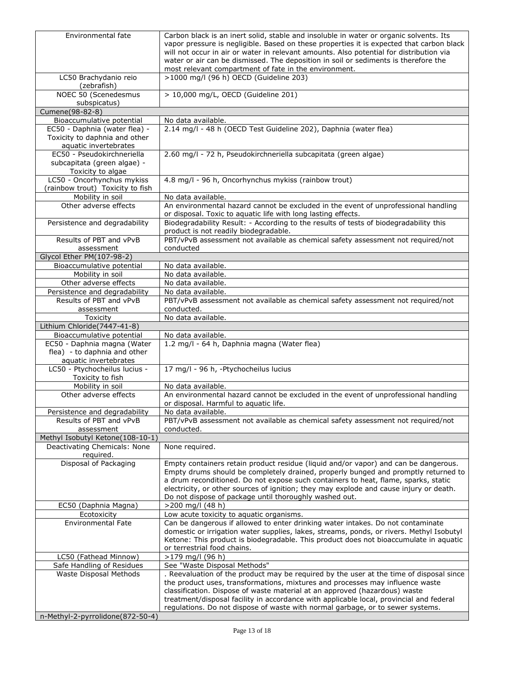| Environmental fate                                | Carbon black is an inert solid, stable and insoluble in water or organic solvents. Its                                                              |
|---------------------------------------------------|-----------------------------------------------------------------------------------------------------------------------------------------------------|
|                                                   | vapor pressure is negligible. Based on these properties it is expected that carbon black                                                            |
|                                                   | will not occur in air or water in relevant amounts. Also potential for distribution via                                                             |
|                                                   | water or air can be dismissed. The deposition in soil or sediments is therefore the                                                                 |
|                                                   | most relevant compartment of fate in the environment.                                                                                               |
| LC50 Brachydanio reio                             | >1000 mg/l (96 h) OECD (Guideline 203)                                                                                                              |
| (zebrafish)                                       |                                                                                                                                                     |
| NOEC 50 (Scenedesmus                              | > 10,000 mg/L, OECD (Guideline 201)                                                                                                                 |
| subspicatus)                                      |                                                                                                                                                     |
| Cumene(98-82-8)                                   |                                                                                                                                                     |
| Bioaccumulative potential                         | No data available.                                                                                                                                  |
| EC50 - Daphnia (water flea) -                     | 2.14 mg/l - 48 h (OECD Test Guideline 202), Daphnia (water flea)                                                                                    |
| Toxicity to daphnia and other                     |                                                                                                                                                     |
| aquatic invertebrates                             |                                                                                                                                                     |
| EC50 - Pseudokirchneriella                        | 2.60 mg/l - 72 h, Pseudokirchneriella subcapitata (green algae)                                                                                     |
| subcapitata (green algae) -                       |                                                                                                                                                     |
| Toxicity to algae                                 |                                                                                                                                                     |
| LC50 - Oncorhynchus mykiss                        | 4.8 mg/l - 96 h, Oncorhynchus mykiss (rainbow trout)                                                                                                |
| (rainbow trout) Toxicity to fish                  |                                                                                                                                                     |
| Mobility in soil                                  | No data available.                                                                                                                                  |
| Other adverse effects                             | An environmental hazard cannot be excluded in the event of unprofessional handling<br>or disposal. Toxic to aquatic life with long lasting effects. |
| Persistence and degradability                     | Biodegradability Result: - According to the results of tests of biodegradability this                                                               |
|                                                   | product is not readily biodegradable.                                                                                                               |
| Results of PBT and vPvB                           | PBT/vPvB assessment not available as chemical safety assessment not required/not                                                                    |
| assessment                                        | conducted                                                                                                                                           |
| Glycol Ether PM(107-98-2)                         |                                                                                                                                                     |
| Bioaccumulative potential                         | No data available.                                                                                                                                  |
| Mobility in soil                                  | No data available.                                                                                                                                  |
| Other adverse effects                             | No data available.                                                                                                                                  |
| Persistence and degradability                     | No data available.                                                                                                                                  |
| Results of PBT and vPvB                           | PBT/vPvB assessment not available as chemical safety assessment not required/not                                                                    |
| assessment                                        | conducted.                                                                                                                                          |
| Toxicity                                          | No data available.                                                                                                                                  |
| Lithium Chloride(7447-41-8)                       |                                                                                                                                                     |
| Bioaccumulative potential                         | No data available.                                                                                                                                  |
|                                                   |                                                                                                                                                     |
|                                                   |                                                                                                                                                     |
| EC50 - Daphnia magna (Water                       | 1.2 mg/l - 64 h, Daphnia magna (Water flea)                                                                                                         |
| flea) - to daphnia and other                      |                                                                                                                                                     |
| aquatic invertebrates                             |                                                                                                                                                     |
| LC50 - Ptychocheilus lucius -<br>Toxicity to fish | 17 mg/l - 96 h, -Ptychocheilus lucius                                                                                                               |
| Mobility in soil                                  | No data available.                                                                                                                                  |
| Other adverse effects                             |                                                                                                                                                     |
|                                                   | An environmental hazard cannot be excluded in the event of unprofessional handling                                                                  |
| Persistence and degradability                     | or disposal. Harmful to aquatic life.<br>No data available.                                                                                         |
| Results of PBT and vPvB                           |                                                                                                                                                     |
| assessment                                        | PBT/vPvB assessment not available as chemical safety assessment not required/not<br>conducted.                                                      |
| Methyl Isobutyl Ketone(108-10-1)                  |                                                                                                                                                     |
| Deactivating Chemicals: None                      | None required.                                                                                                                                      |
| required.                                         |                                                                                                                                                     |
| Disposal of Packaging                             | Empty containers retain product residue (liquid and/or vapor) and can be dangerous.                                                                 |
|                                                   | Empty drums should be completely drained, properly bunged and promptly returned to                                                                  |
|                                                   | a drum reconditioned. Do not expose such containers to heat, flame, sparks, static                                                                  |
|                                                   | electricity, or other sources of ignition; they may explode and cause injury or death.                                                              |
|                                                   | Do not dispose of package until thoroughly washed out.                                                                                              |
| EC50 (Daphnia Magna)                              | $>200$ mg/l (48 h)                                                                                                                                  |
| Ecotoxicity                                       | Low acute toxicity to aquatic organisms.                                                                                                            |
| <b>Environmental Fate</b>                         | Can be dangerous if allowed to enter drinking water intakes. Do not contaminate                                                                     |
|                                                   | domestic or irrigation water supplies, lakes, streams, ponds, or rivers. Methyl Isobutyl                                                            |
|                                                   | Ketone: This product is biodegradable. This product does not bioaccumulate in aquatic                                                               |
|                                                   | or terrestrial food chains.                                                                                                                         |
| LC50 (Fathead Minnow)                             | >179 mg/l (96 h)                                                                                                                                    |
| Safe Handling of Residues                         | See "Waste Disposal Methods"                                                                                                                        |
| Waste Disposal Methods                            | . Reevaluation of the product may be required by the user at the time of disposal since                                                             |
|                                                   | the product uses, transformations, mixtures and processes may influence waste                                                                       |
|                                                   | classification. Dispose of waste material at an approved (hazardous) waste                                                                          |
|                                                   | treatment/disposal facility in accordance with applicable local, provincial and federal                                                             |
| n-Methyl-2-pyrrolidone(872-50-4)                  | regulations. Do not dispose of waste with normal garbage, or to sewer systems.                                                                      |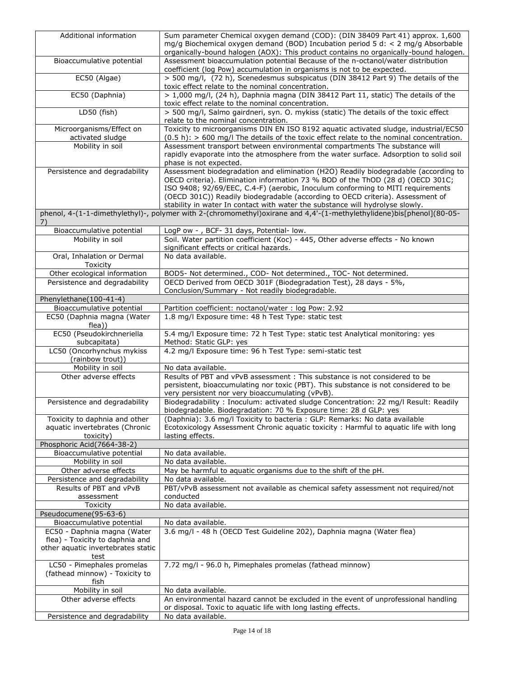| Additional information                                                        | Sum parameter Chemical oxygen demand (COD): (DIN 38409 Part 41) approx. 1,600<br>mg/g Biochemical oxygen demand (BOD) Incubation period 5 d: $\lt$ 2 mg/g Absorbable<br>organically-bound halogen (AOX): This product contains no organically-bound halogen.                                                                                                                                                                |
|-------------------------------------------------------------------------------|-----------------------------------------------------------------------------------------------------------------------------------------------------------------------------------------------------------------------------------------------------------------------------------------------------------------------------------------------------------------------------------------------------------------------------|
| Bioaccumulative potential                                                     | Assessment bioaccumulation potential Because of the n-octanol/water distribution<br>coefficient (log Pow) accumulation in organisms is not to be expected.                                                                                                                                                                                                                                                                  |
| EC50 (Algae)                                                                  | > 500 mg/l, (72 h), Scenedesmus subspicatus (DIN 38412 Part 9) The details of the<br>toxic effect relate to the nominal concentration.                                                                                                                                                                                                                                                                                      |
| EC50 (Daphnia)                                                                | > 1,000 mg/l, (24 h), Daphnia magna (DIN 38412 Part 11, static) The details of the<br>toxic effect relate to the nominal concentration.                                                                                                                                                                                                                                                                                     |
| LD50 (fish)                                                                   | > 500 mg/l, Salmo gairdneri, syn. O. mykiss (static) The details of the toxic effect<br>relate to the nominal concentration.                                                                                                                                                                                                                                                                                                |
| Microorganisms/Effect on<br>activated sludge                                  | Toxicity to microorganisms DIN EN ISO 8192 aquatic activated sludge, industrial/EC50<br>$(0.5 h):$ > 600 mg/l The details of the toxic effect relate to the nominal concentration.                                                                                                                                                                                                                                          |
| Mobility in soil                                                              | Assessment transport between environmental compartments The substance will<br>rapidly evaporate into the atmosphere from the water surface. Adsorption to solid soil<br>phase is not expected.                                                                                                                                                                                                                              |
| Persistence and degradability                                                 | Assessment biodegradation and elimination (H2O) Readily biodegradable (according to<br>OECD criteria). Elimination information 73 % BOD of the ThOD (28 d) (OECD 301C;<br>ISO 9408; 92/69/EEC, C.4-F) (aerobic, Inoculum conforming to MITI requirements<br>(OECD 301C)) Readily biodegradable (according to OECD criteria). Assessment of<br>stability in water In contact with water the substance will hydrolyse slowly. |
| 7)                                                                            | phenol, 4-(1-1-dimethylethyl)-, polymer with 2-(chromomethyl)oxirane and 4,4'-(1-methylethylidene)bis[phenol](80-05-                                                                                                                                                                                                                                                                                                        |
| Bioaccumulative potential                                                     | LogP ow - , BCF- 31 days, Potential- low.                                                                                                                                                                                                                                                                                                                                                                                   |
| Mobility in soil                                                              | Soil. Water partition coefficient (Koc) - 445, Other adverse effects - No known<br>significant effects or critical hazards.                                                                                                                                                                                                                                                                                                 |
| Oral, Inhalation or Dermal<br>Toxicity                                        | No data available.                                                                                                                                                                                                                                                                                                                                                                                                          |
| Other ecological information                                                  | BOD5- Not determined., COD- Not determined., TOC- Not determined.<br>OECD Derived from OECD 301F (Biodegradation Test), 28 days - 5%,                                                                                                                                                                                                                                                                                       |
| Persistence and degradability                                                 | Conclusion/Summary - Not readily biodegradable.                                                                                                                                                                                                                                                                                                                                                                             |
| Phenylethane(100-41-4)                                                        |                                                                                                                                                                                                                                                                                                                                                                                                                             |
| Bioaccumulative potential<br>EC50 (Daphnia magna (Water<br>flea))             | Partition coefficient: noctanol/water: log Pow: 2.92<br>1.8 mg/l Exposure time: 48 h Test Type: static test                                                                                                                                                                                                                                                                                                                 |
| EC50 (Pseudokirchneriella<br>subcapitata)                                     | 5.4 mg/l Exposure time: 72 h Test Type: static test Analytical monitoring: yes<br>Method: Static GLP: yes                                                                                                                                                                                                                                                                                                                   |
| LC50 (Oncorhynchus mykiss<br>(rainbow trout))                                 | 4.2 mg/l Exposure time: 96 h Test Type: semi-static test                                                                                                                                                                                                                                                                                                                                                                    |
| Mobility in soil                                                              | No data available.                                                                                                                                                                                                                                                                                                                                                                                                          |
| Other adverse effects                                                         | Results of PBT and vPvB assessment : This substance is not considered to be<br>persistent, bioaccumulating nor toxic (PBT). This substance is not considered to be<br>very persistent nor very bioaccumulating (vPvB).                                                                                                                                                                                                      |
| Persistence and degradability                                                 | Biodegradability : Inoculum: activated sludge Concentration: 22 mg/l Result: Readily<br>biodegradable. Biodegradation: 70 % Exposure time: 28 d GLP: yes                                                                                                                                                                                                                                                                    |
| Toxicity to daphnia and other<br>aquatic invertebrates (Chronic<br>toxicity)  | (Daphnia): 3.6 mg/l Toxicity to bacteria : GLP: Remarks: No data available<br>Ecotoxicology Assessment Chronic aquatic toxicity: Harmful to aquatic life with long<br>lasting effects.                                                                                                                                                                                                                                      |
| Phosphoric Acid(7664-38-2)                                                    |                                                                                                                                                                                                                                                                                                                                                                                                                             |
| Bioaccumulative potential                                                     | No data available.                                                                                                                                                                                                                                                                                                                                                                                                          |
| Mobility in soil<br>Other adverse effects                                     | No data available.<br>May be harmful to aquatic organisms due to the shift of the pH.                                                                                                                                                                                                                                                                                                                                       |
| Persistence and degradability                                                 | No data available.                                                                                                                                                                                                                                                                                                                                                                                                          |
| Results of PBT and vPvB                                                       | PBT/vPvB assessment not available as chemical safety assessment not required/not                                                                                                                                                                                                                                                                                                                                            |
| assessment                                                                    | conducted                                                                                                                                                                                                                                                                                                                                                                                                                   |
| Toxicity                                                                      | No data available.                                                                                                                                                                                                                                                                                                                                                                                                          |
| Pseudocumene(95-63-6)                                                         |                                                                                                                                                                                                                                                                                                                                                                                                                             |
| Bioaccumulative potential<br>EC50 - Daphnia magna (Water                      | No data available.<br>3.6 mg/l - 48 h (OECD Test Guideline 202), Daphnia magna (Water flea)                                                                                                                                                                                                                                                                                                                                 |
| flea) - Toxicity to daphnia and<br>other aquatic invertebrates static<br>test |                                                                                                                                                                                                                                                                                                                                                                                                                             |
| LC50 - Pimephales promelas<br>(fathead minnow) - Toxicity to<br>fish          | 7.72 mg/l - 96.0 h, Pimephales promelas (fathead minnow)                                                                                                                                                                                                                                                                                                                                                                    |
| Mobility in soil                                                              | No data available.                                                                                                                                                                                                                                                                                                                                                                                                          |
| Other adverse effects                                                         | An environmental hazard cannot be excluded in the event of unprofessional handling<br>or disposal. Toxic to aquatic life with long lasting effects.                                                                                                                                                                                                                                                                         |
| Persistence and degradability                                                 | No data available.                                                                                                                                                                                                                                                                                                                                                                                                          |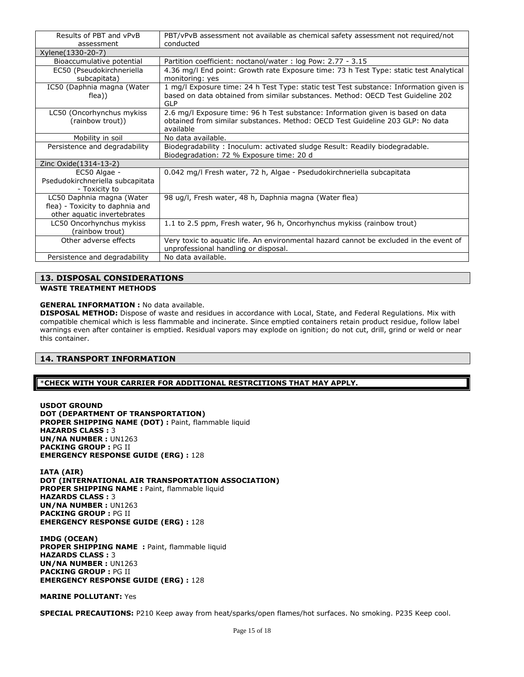| Results of PBT and vPvB<br>assessment                                                       | PBT/vPvB assessment not available as chemical safety assessment not required/not<br>conducted                                                                                    |
|---------------------------------------------------------------------------------------------|----------------------------------------------------------------------------------------------------------------------------------------------------------------------------------|
| Xylene(1330-20-7)                                                                           |                                                                                                                                                                                  |
| Bioaccumulative potential                                                                   | Partition coefficient: noctanol/water : log Pow: 2.77 - 3.15                                                                                                                     |
| EC50 (Pseudokirchneriella<br>subcapitata)                                                   | 4.36 mg/l End point: Growth rate Exposure time: 73 h Test Type: static test Analytical<br>monitoring: yes                                                                        |
| IC50 (Daphnia magna (Water<br>flea))                                                        | 1 mg/l Exposure time: 24 h Test Type: static test Test substance: Information given is<br>based on data obtained from similar substances. Method: OECD Test Guideline 202<br>GLP |
| LC50 (Oncorhynchus mykiss<br>(rainbow trout))                                               | 2.6 mg/l Exposure time: 96 h Test substance: Information given is based on data<br>obtained from similar substances. Method: OECD Test Guideline 203 GLP: No data<br>available   |
| Mobility in soil                                                                            | No data available.                                                                                                                                                               |
| Persistence and degradability                                                               | Biodegradability: Inoculum: activated sludge Result: Readily biodegradable.<br>Biodegradation: 72 % Exposure time: 20 d                                                          |
| Zinc Oxide(1314-13-2)                                                                       |                                                                                                                                                                                  |
| EC50 Algae -<br>Psedudokirchneriella subcapitata<br>- Toxicity to                           | 0.042 mg/l Fresh water, 72 h, Algae - Psedudokirchneriella subcapitata                                                                                                           |
| LC50 Daphnia magna (Water<br>flea) - Toxicity to daphnia and<br>other aquatic invertebrates | 98 ug/l, Fresh water, 48 h, Daphnia magna (Water flea)                                                                                                                           |
| LC50 Oncorhynchus mykiss<br>(rainbow trout)                                                 | 1.1 to 2.5 ppm, Fresh water, 96 h, Oncorhynchus mykiss (rainbow trout)                                                                                                           |
| Other adverse effects                                                                       | Very toxic to aquatic life. An environmental hazard cannot be excluded in the event of<br>unprofessional handling or disposal.                                                   |
| Persistence and degradability                                                               | No data available.                                                                                                                                                               |

#### **13. DISPOSAL CONSIDERATIONS**

**WASTE TREATMENT METHODS**

#### **GENERAL INFORMATION :** No data available.

**DISPOSAL METHOD:** Dispose of waste and residues in accordance with Local, State, and Federal Regulations. Mix with compatible chemical which is less flammable and incinerate. Since emptied containers retain product residue, follow label warnings even after container is emptied. Residual vapors may explode on ignition; do not cut, drill, grind or weld or near this container.

#### **14. TRANSPORT INFORMATION**

#### \***CHECK WITH YOUR CARRIER FOR ADDITIONAL RESTRCITIONS THAT MAY APPLY.**

**USDOT GROUND DOT (DEPARTMENT OF TRANSPORTATION) PROPER SHIPPING NAME (DOT) :** Paint, flammable liquid **HAZARDS CLASS :** 3 **UN/NA NUMBER :** UN1263 **PACKING GROUP :** PG II **EMERGENCY RESPONSE GUIDE (ERG) :** 128

**IATA (AIR) DOT (INTERNATIONAL AIR TRANSPORTATION ASSOCIATION)** PROPER SHIPPING NAME : Paint, flammable liquid **HAZARDS CLASS :** 3 **UN/NA NUMBER :** UN1263 **PACKING GROUP :** PG II **EMERGENCY RESPONSE GUIDE (ERG) :** 128

**IMDG (OCEAN)** PROPER SHIPPING NAME : Paint, flammable liquid **HAZARDS CLASS :** 3 **UN/NA NUMBER :** UN1263 **PACKING GROUP :** PG II **EMERGENCY RESPONSE GUIDE (ERG) :** 128

#### **MARINE POLLUTANT:** Yes

**SPECIAL PRECAUTIONS:** P210 Keep away from heat/sparks/open flames/hot surfaces. No smoking. P235 Keep cool.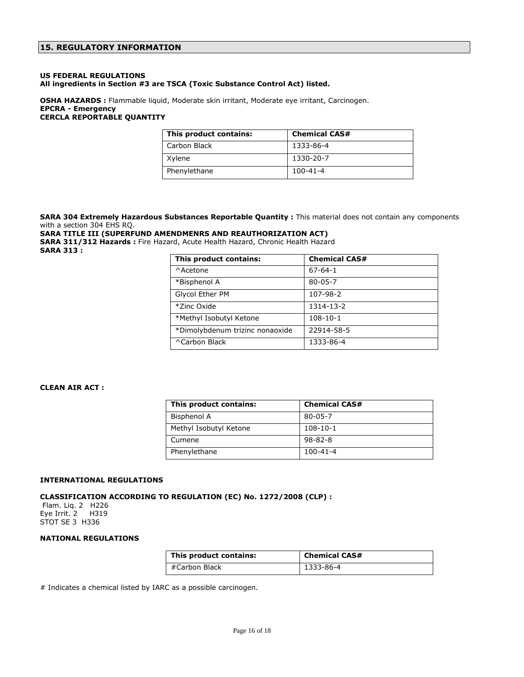#### **US FEDERAL REGULATIONS All ingredients in Section #3 are TSCA (Toxic Substance Control Act) listed.**

**OSHA HAZARDS :** Flammable liquid, Moderate skin irritant, Moderate eye irritant, Carcinogen. **EPCRA - Emergency CERCLA REPORTABLE QUANTITY**

| This product contains: | <b>Chemical CAS#</b> |
|------------------------|----------------------|
| Carbon Black           | 1333-86-4            |
| Xylene                 | 1330-20-7            |
| Phenylethane           | $100 - 41 - 4$       |

**SARA 304 Extremely Hazardous Substances Reportable Quantity :** This material does not contain any components with a section 304 EHS RQ.

#### **SARA TITLE III (SUPERFUND AMENDMENRS AND REAUTHORIZATION ACT)**

**SARA 311/312 Hazards :** Fire Hazard, Acute Health Hazard, Chronic Health Hazard **SARA 313 :**

| This product contains:          | <b>Chemical CAS#</b> |
|---------------------------------|----------------------|
| ^Acetone                        | $67 - 64 - 1$        |
| *Bisphenol A                    | $80 - 05 - 7$        |
| Glycol Ether PM                 | 107-98-2             |
| *Zinc Oxide                     | 1314-13-2            |
| *Methyl Isobutyl Ketone         | $108 - 10 - 1$       |
| *Dimolybdenum trizinc nonaoxide | 22914-58-5           |
| ^Carbon Black                   | 1333-86-4            |

#### **CLEAN AIR ACT :**

| This product contains: | <b>Chemical CAS#</b> |
|------------------------|----------------------|
| Bisphenol A            | $80 - 05 - 7$        |
| Methyl Isobutyl Ketone | $108 - 10 - 1$       |
| Cumene                 | $98 - 82 - 8$        |
| Phenylethane           | $100 - 41 - 4$       |

#### **INTERNATIONAL REGULATIONS**

#### **CLASSIFICATION ACCORDING TO REGULATION (EC) No. 1272/2008 (CLP) :**

Flam. Liq. 2 H226 Eye Irrit. 2 H319 STOT SE 3 H336

#### **NATIONAL REGULATIONS**

| This product contains: | <b>Chemical CAS#</b> |
|------------------------|----------------------|
| #Carbon Black          | 1333-86-4            |

# Indicates a chemical listed by IARC as a possible carcinogen.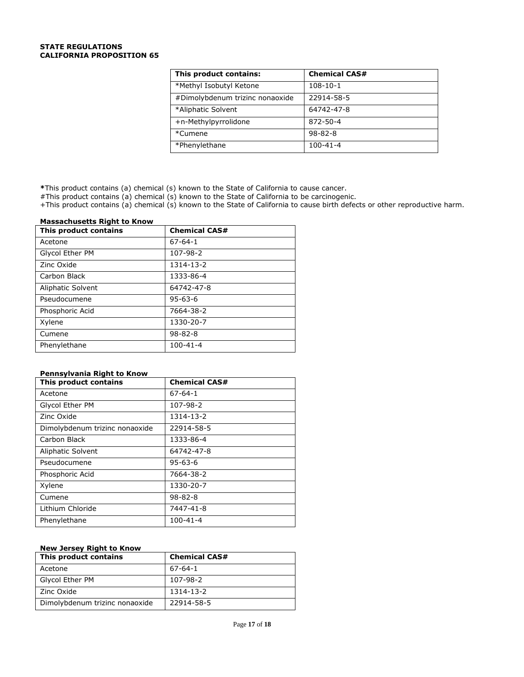#### **STATE REGULATIONS CALIFORNIA PROPOSITION 65**

| This product contains:          | <b>Chemical CAS#</b> |
|---------------------------------|----------------------|
| *Methyl Isobutyl Ketone         | $108 - 10 - 1$       |
| #Dimolybdenum trizinc nonaoxide | 22914-58-5           |
| *Aliphatic Solvent              | 64742-47-8           |
| +n-Methylpyrrolidone            | 872-50-4             |
| *Cumene                         | $98 - 82 - 8$        |
| *Phenylethane                   | $100 - 41 - 4$       |

**\***This product contains (a) chemical (s) known to the State of California to cause cancer.

#This product contains (a) chemical (s) known to the State of California to be carcinogenic.

+This product contains (a) chemical (s) known to the State of California to cause birth defects or other reproductive harm.

#### **Massachusetts Right to Know**

| This product contains | <b>Chemical CAS#</b> |
|-----------------------|----------------------|
| Acetone               | $67 - 64 - 1$        |
| Glycol Ether PM       | 107-98-2             |
| Zinc Oxide            | 1314-13-2            |
| Carbon Black          | 1333-86-4            |
| Aliphatic Solvent     | 64742-47-8           |
| Pseudocumene          | $95 - 63 - 6$        |
| Phosphoric Acid       | 7664-38-2            |
| Xylene                | 1330-20-7            |
| Cumene                | $98 - 82 - 8$        |
| Phenylethane          | $100 - 41 - 4$       |

#### **Pennsylvania Right to Know**

| This product contains          | <b>Chemical CAS#</b> |
|--------------------------------|----------------------|
| Acetone                        | $67 - 64 - 1$        |
| Glycol Ether PM                | 107-98-2             |
| Zinc Oxide                     | 1314-13-2            |
| Dimolybdenum trizinc nonaoxide | 22914-58-5           |
| Carbon Black                   | 1333-86-4            |
| Aliphatic Solvent              | 64742-47-8           |
| Pseudocumene                   | $95 - 63 - 6$        |
| Phosphoric Acid                | 7664-38-2            |
| Xylene                         | 1330-20-7            |
| Cumene                         | $98 - 82 - 8$        |
| Lithium Chloride               | 7447-41-8            |
| Phenylethane                   | $100 - 41 - 4$       |

#### **New Jersey Right to Know**

| This product contains          | <b>Chemical CAS#</b> |
|--------------------------------|----------------------|
| Acetone                        | $67 - 64 - 1$        |
| Glycol Ether PM                | 107-98-2             |
| Zinc Oxide                     | 1314-13-2            |
| Dimolybdenum trizinc nonaoxide | 22914-58-5           |